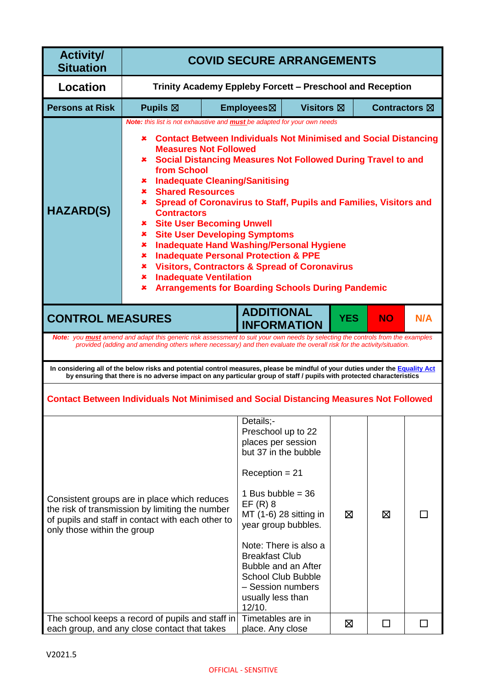| <b>Activity/</b><br><b>Situation</b>                                                                                                                                                                                                                                                                                                                                                                                                                                                                                                                                                                                                                                                                                                                                                                                                                                         | <b>COVID SECURE ARRANGEMENTS</b>                                                                                                                                                                                                                                     |                                                                                                                                                                                                                                                                                               |                                                 |                      |   |                         |        |
|------------------------------------------------------------------------------------------------------------------------------------------------------------------------------------------------------------------------------------------------------------------------------------------------------------------------------------------------------------------------------------------------------------------------------------------------------------------------------------------------------------------------------------------------------------------------------------------------------------------------------------------------------------------------------------------------------------------------------------------------------------------------------------------------------------------------------------------------------------------------------|----------------------------------------------------------------------------------------------------------------------------------------------------------------------------------------------------------------------------------------------------------------------|-----------------------------------------------------------------------------------------------------------------------------------------------------------------------------------------------------------------------------------------------------------------------------------------------|-------------------------------------------------|----------------------|---|-------------------------|--------|
| Location                                                                                                                                                                                                                                                                                                                                                                                                                                                                                                                                                                                                                                                                                                                                                                                                                                                                     | Trinity Academy Eppleby Forcett – Preschool and Reception                                                                                                                                                                                                            |                                                                                                                                                                                                                                                                                               |                                                 |                      |   |                         |        |
| <b>Persons at Risk</b>                                                                                                                                                                                                                                                                                                                                                                                                                                                                                                                                                                                                                                                                                                                                                                                                                                                       | <b>Pupils <math>\boxtimes</math></b>                                                                                                                                                                                                                                 |                                                                                                                                                                                                                                                                                               | Employees⊠                                      | Visitors $\boxtimes$ |   | Contractors $\boxtimes$ |        |
| Note: this list is not exhaustive and <b>must</b> be adapted for your own needs<br><b>Contact Between Individuals Not Minimised and Social Distancing</b><br>x.<br><b>Measures Not Followed</b><br><b>* Social Distancing Measures Not Followed During Travel to and</b><br>from School<br><b>Inadequate Cleaning/Sanitising</b><br>×<br><b>Shared Resources</b><br>x.<br><b>*</b> Spread of Coronavirus to Staff, Pupils and Families, Visitors and<br><b>HAZARD(S)</b><br><b>Contractors</b><br><b>*</b> Site User Becoming Unwell<br><b>Site User Developing Symptoms</b><br>x.<br><b>Inadequate Hand Washing/Personal Hygiene</b><br>×<br><b>Inadequate Personal Protection &amp; PPE</b><br>×<br><b>Visitors, Contractors &amp; Spread of Coronavirus</b><br>×.<br><b>Inadequate Ventilation</b><br>x.<br><b>Arrangements for Boarding Schools During Pandemic</b><br>× |                                                                                                                                                                                                                                                                      |                                                                                                                                                                                                                                                                                               |                                                 |                      |   |                         |        |
| <b>ADDITIONAL</b><br><b>CONTROL MEASURES</b><br><b>YES</b><br><b>NO</b><br>N/A<br><b>INFORMATION</b>                                                                                                                                                                                                                                                                                                                                                                                                                                                                                                                                                                                                                                                                                                                                                                         |                                                                                                                                                                                                                                                                      |                                                                                                                                                                                                                                                                                               |                                                 |                      |   |                         |        |
|                                                                                                                                                                                                                                                                                                                                                                                                                                                                                                                                                                                                                                                                                                                                                                                                                                                                              | <b>Note:</b> you <b>must</b> amend and adapt this generic risk assessment to suit your own needs by selecting the controls from the examples<br>provided (adding and amending others where necessary) and then evaluate the overall risk for the activity/situation. |                                                                                                                                                                                                                                                                                               |                                                 |                      |   |                         |        |
|                                                                                                                                                                                                                                                                                                                                                                                                                                                                                                                                                                                                                                                                                                                                                                                                                                                                              | In considering all of the below risks and potential control measures, please be mindful of your duties under the Equality Act<br>by ensuring that there is no adverse impact on any particular group of staff / pupils with protected characteristics                |                                                                                                                                                                                                                                                                                               |                                                 |                      |   |                         |        |
|                                                                                                                                                                                                                                                                                                                                                                                                                                                                                                                                                                                                                                                                                                                                                                                                                                                                              | <b>Contact Between Individuals Not Minimised and Social Distancing Measures Not Followed</b>                                                                                                                                                                         |                                                                                                                                                                                                                                                                                               |                                                 |                      |   |                         |        |
| Consistent groups are in place which reduces<br>the risk of transmission by limiting the number<br>of pupils and staff in contact with each other to<br>only those within the group<br>The school keeps a record of pupils and staff in                                                                                                                                                                                                                                                                                                                                                                                                                                                                                                                                                                                                                                      |                                                                                                                                                                                                                                                                      | Details;-<br>Preschool up to 22<br>places per session<br>but 37 in the bubble<br>$Reception = 21$<br>1 Bus bubble = $36$<br>$EF(R)$ 8<br>year group bubbles.<br><b>Breakfast Club</b><br>Bubble and an After<br><b>School Club Bubble</b><br>- Session numbers<br>usually less than<br>12/10. | MT (1-6) 28 sitting in<br>Note: There is also a | ⊠                    | ⊠ |                         |        |
|                                                                                                                                                                                                                                                                                                                                                                                                                                                                                                                                                                                                                                                                                                                                                                                                                                                                              | each group, and any close contact that takes                                                                                                                                                                                                                         |                                                                                                                                                                                                                                                                                               | Timetables are in<br>place. Any close           |                      | ⊠ | □                       | $\Box$ |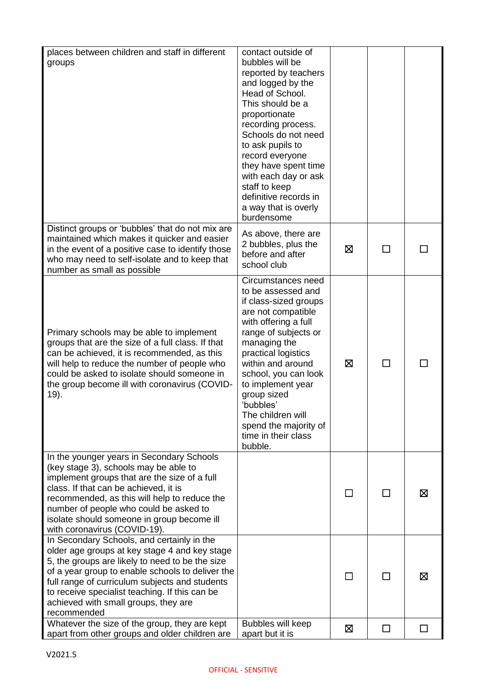| places between children and staff in different    | contact outside of    |   |        |   |
|---------------------------------------------------|-----------------------|---|--------|---|
| groups                                            | bubbles will be       |   |        |   |
|                                                   | reported by teachers  |   |        |   |
|                                                   | and logged by the     |   |        |   |
|                                                   | Head of School.       |   |        |   |
|                                                   | This should be a      |   |        |   |
|                                                   | proportionate         |   |        |   |
|                                                   | recording process.    |   |        |   |
|                                                   | Schools do not need   |   |        |   |
|                                                   | to ask pupils to      |   |        |   |
|                                                   | record everyone       |   |        |   |
|                                                   |                       |   |        |   |
|                                                   | they have spent time  |   |        |   |
|                                                   | with each day or ask  |   |        |   |
|                                                   | staff to keep         |   |        |   |
|                                                   | definitive records in |   |        |   |
|                                                   | a way that is overly  |   |        |   |
|                                                   | burdensome            |   |        |   |
| Distinct groups or 'bubbles' that do not mix are  | As above, there are   |   |        |   |
| maintained which makes it quicker and easier      | 2 bubbles, plus the   |   |        |   |
| in the event of a positive case to identify those | before and after      | ⊠ | ΙI     |   |
| who may need to self-isolate and to keep that     | school club           |   |        |   |
| number as small as possible                       |                       |   |        |   |
|                                                   | Circumstances need    |   |        |   |
|                                                   | to be assessed and    |   |        |   |
|                                                   | if class-sized groups |   |        |   |
|                                                   | are not compatible    |   |        |   |
|                                                   | with offering a full  |   |        |   |
| Primary schools may be able to implement          | range of subjects or  |   |        |   |
| groups that are the size of a full class. If that | managing the          |   |        |   |
| can be achieved, it is recommended, as this       | practical logistics   |   |        |   |
| will help to reduce the number of people who      | within and around     | ⊠ | $\Box$ |   |
| could be asked to isolate should someone in       | school, you can look  |   |        |   |
| the group become ill with coronavirus (COVID-     | to implement year     |   |        |   |
| 19).                                              | group sized           |   |        |   |
|                                                   | 'bubbles'             |   |        |   |
|                                                   | The children will     |   |        |   |
|                                                   | spend the majority of |   |        |   |
|                                                   | time in their class   |   |        |   |
|                                                   | bubble.               |   |        |   |
| In the younger years in Secondary Schools         |                       |   |        |   |
| (key stage 3), schools may be able to             |                       |   |        |   |
| implement groups that are the size of a full      |                       |   |        |   |
| class. If that can be achieved, it is             |                       |   |        | ⊠ |
| recommended, as this will help to reduce the      |                       |   |        |   |
| number of people who could be asked to            |                       |   |        |   |
| isolate should someone in group become ill        |                       |   |        |   |
| with coronavirus (COVID-19).                      |                       |   |        |   |
| In Secondary Schools, and certainly in the        |                       |   |        |   |
| older age groups at key stage 4 and key stage     |                       |   |        |   |
| 5, the groups are likely to need to be the size   |                       |   |        |   |
| of a year group to enable schools to deliver the  |                       |   |        |   |
| full range of curriculum subjects and students    |                       |   |        | ⊠ |
| to receive specialist teaching. If this can be    |                       |   |        |   |
| achieved with small groups, they are              |                       |   |        |   |
| recommended                                       |                       |   |        |   |
| Whatever the size of the group, they are kept     | Bubbles will keep     |   |        |   |
| apart from other groups and older children are    | apart but it is       | ⊠ | $\Box$ |   |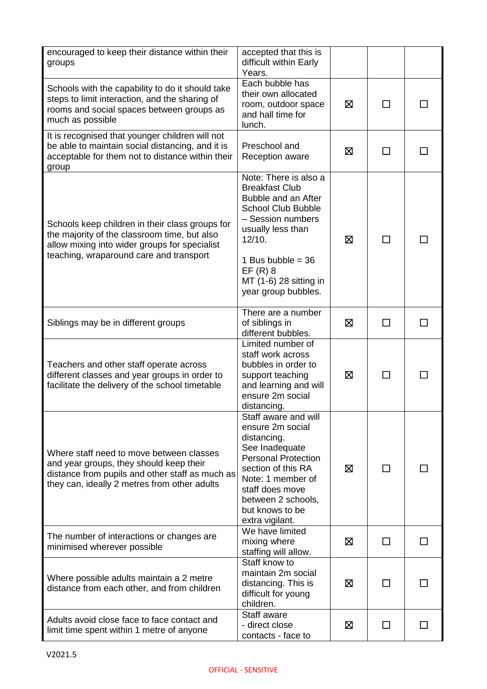| encouraged to keep their distance within their<br>groups                                                                                                                                    | accepted that this is<br>difficult within Early<br>Years.                                                                                                                                                                                   |   |              |                |
|---------------------------------------------------------------------------------------------------------------------------------------------------------------------------------------------|---------------------------------------------------------------------------------------------------------------------------------------------------------------------------------------------------------------------------------------------|---|--------------|----------------|
| Schools with the capability to do it should take<br>steps to limit interaction, and the sharing of<br>rooms and social spaces between groups as<br>much as possible                         | Each bubble has<br>their own allocated<br>room, outdoor space<br>and hall time for<br>lunch.                                                                                                                                                | ⊠ | П            |                |
| It is recognised that younger children will not<br>be able to maintain social distancing, and it is<br>acceptable for them not to distance within their<br>group                            | Preschool and<br><b>Reception aware</b>                                                                                                                                                                                                     | ⊠ | П            |                |
| Schools keep children in their class groups for<br>the majority of the classroom time, but also<br>allow mixing into wider groups for specialist<br>teaching, wraparound care and transport | Note: There is also a<br><b>Breakfast Club</b><br>Bubble and an After<br><b>School Club Bubble</b><br>- Session numbers<br>usually less than<br>12/10.<br>1 Bus bubble = $36$<br>$EF(R)$ 8<br>MT (1-6) 28 sitting in<br>year group bubbles. | ⊠ |              |                |
| Siblings may be in different groups                                                                                                                                                         | There are a number<br>of siblings in<br>different bubbles.                                                                                                                                                                                  | ⊠ | П            |                |
| Teachers and other staff operate across<br>different classes and year groups in order to<br>facilitate the delivery of the school timetable                                                 | Limited number of<br>staff work across<br>bubbles in order to<br>support teaching<br>and learning and will<br>ensure 2m social<br>distancing.                                                                                               | ⊠ | П            |                |
| Where staff need to move between classes<br>and year groups, they should keep their<br>distance from pupils and other staff as much as<br>they can, ideally 2 metres from other adults      | Staff aware and will<br>ensure 2m social<br>distancing.<br>See Inadequate<br><b>Personal Protection</b><br>section of this RA<br>Note: 1 member of<br>staff does move<br>between 2 schools,<br>but knows to be<br>extra vigilant.           | ⊠ | П            |                |
| The number of interactions or changes are<br>minimised wherever possible                                                                                                                    | We have limited<br>mixing where<br>staffing will allow.                                                                                                                                                                                     | 区 | П            | $\blacksquare$ |
| Where possible adults maintain a 2 metre<br>distance from each other, and from children                                                                                                     | Staff know to<br>maintain 2m social<br>distancing. This is<br>difficult for young<br>children.                                                                                                                                              | ⊠ | $\mathsf{L}$ |                |
| Adults avoid close face to face contact and<br>limit time spent within 1 metre of anyone                                                                                                    | Staff aware<br>- direct close<br>contacts - face to                                                                                                                                                                                         | 区 | $\Box$       | $\Box$         |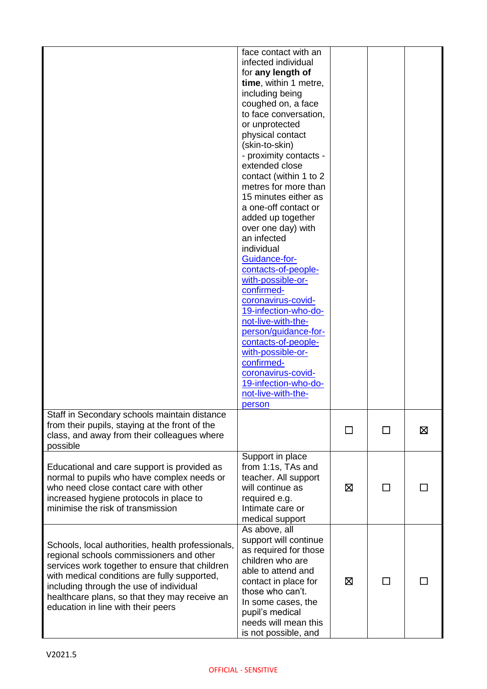|                                                                                                                                                                                                                                                                                                                                   | face contact with an<br>infected individual<br>for any length of<br>time, within 1 metre,<br>including being<br>coughed on, a face<br>to face conversation,<br>or unprotected<br>physical contact<br>(skin-to-skin)<br>- proximity contacts -<br>extended close<br>contact (within 1 to 2<br>metres for more than<br>15 minutes either as<br>a one-off contact or<br>added up together<br>over one day) with<br>an infected<br>individual<br>Guidance-for-<br>contacts-of-people-<br>with-possible-or-<br>confirmed-<br>coronavirus-covid-<br>19-infection-who-do-<br>not-live-with-the-<br>person/guidance-for-<br>contacts-of-people-<br>with-possible-or-<br>confirmed-<br>coronavirus-covid-<br>19-infection-who-do-<br>not-live-with-the-<br>person |    |              |   |
|-----------------------------------------------------------------------------------------------------------------------------------------------------------------------------------------------------------------------------------------------------------------------------------------------------------------------------------|----------------------------------------------------------------------------------------------------------------------------------------------------------------------------------------------------------------------------------------------------------------------------------------------------------------------------------------------------------------------------------------------------------------------------------------------------------------------------------------------------------------------------------------------------------------------------------------------------------------------------------------------------------------------------------------------------------------------------------------------------------|----|--------------|---|
| Staff in Secondary schools maintain distance<br>from their pupils, staying at the front of the<br>class, and away from their colleagues where<br>possible                                                                                                                                                                         |                                                                                                                                                                                                                                                                                                                                                                                                                                                                                                                                                                                                                                                                                                                                                          | ΙI | $\mathsf{L}$ | ⊠ |
| Educational and care support is provided as<br>normal to pupils who have complex needs or<br>who need close contact care with other<br>increased hygiene protocols in place to<br>minimise the risk of transmission                                                                                                               | Support in place<br>from 1:1s, TAs and<br>teacher. All support<br>will continue as<br>required e.g.<br>Intimate care or<br>medical support                                                                                                                                                                                                                                                                                                                                                                                                                                                                                                                                                                                                               | ⊠  | ΙI           |   |
| Schools, local authorities, health professionals,<br>regional schools commissioners and other<br>services work together to ensure that children<br>with medical conditions are fully supported,<br>including through the use of individual<br>healthcare plans, so that they may receive an<br>education in line with their peers | As above, all<br>support will continue<br>as required for those<br>children who are<br>able to attend and<br>contact in place for<br>those who can't.<br>In some cases, the<br>pupil's medical<br>needs will mean this<br>is not possible, and                                                                                                                                                                                                                                                                                                                                                                                                                                                                                                           | ⊠  | ΙI           |   |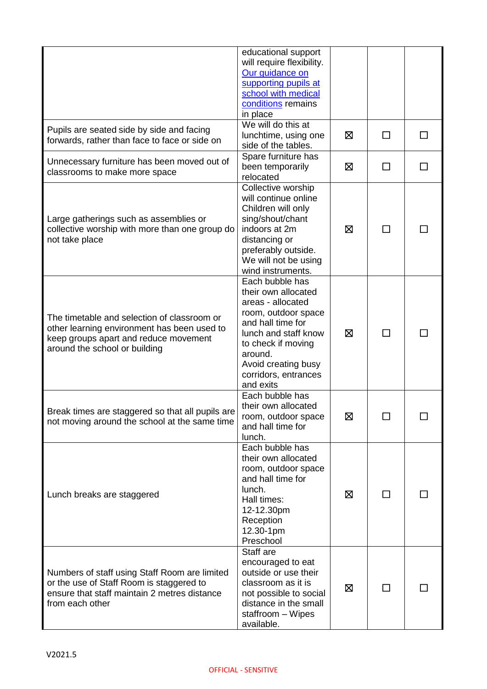|                                                                                                                                                                      | educational support<br>will require flexibility.<br>Our guidance on<br>supporting pupils at<br>school with medical<br>conditions remains<br>in place                                                                         |   |              |        |
|----------------------------------------------------------------------------------------------------------------------------------------------------------------------|------------------------------------------------------------------------------------------------------------------------------------------------------------------------------------------------------------------------------|---|--------------|--------|
| Pupils are seated side by side and facing<br>forwards, rather than face to face or side on                                                                           | We will do this at<br>lunchtime, using one<br>side of the tables.                                                                                                                                                            | ⊠ | П            | $\Box$ |
| Unnecessary furniture has been moved out of<br>classrooms to make more space                                                                                         | Spare furniture has<br>been temporarily<br>relocated                                                                                                                                                                         | ⊠ | П            |        |
| Large gatherings such as assemblies or<br>collective worship with more than one group do<br>not take place                                                           | Collective worship<br>will continue online<br>Children will only<br>sing/shout/chant<br>indoors at 2m<br>distancing or<br>preferably outside.<br>We will not be using<br>wind instruments.                                   | ⊠ | П            |        |
| The timetable and selection of classroom or<br>other learning environment has been used to<br>keep groups apart and reduce movement<br>around the school or building | Each bubble has<br>their own allocated<br>areas - allocated<br>room, outdoor space<br>and hall time for<br>lunch and staff know<br>to check if moving<br>around.<br>Avoid creating busy<br>corridors, entrances<br>and exits | ⊠ | $\mathsf{L}$ |        |
| Break times are staggered so that all pupils are<br>not moving around the school at the same time                                                                    | Each bubble has<br>their own allocated<br>room, outdoor space<br>and hall time for<br>lunch.                                                                                                                                 | ⊠ | □            |        |
| Lunch breaks are staggered                                                                                                                                           | Each bubble has<br>their own allocated<br>room, outdoor space<br>and hall time for<br>lunch.<br>Hall times:<br>12-12.30pm<br>Reception<br>12.30-1pm<br>Preschool                                                             | ⊠ | П            |        |
| Numbers of staff using Staff Room are limited<br>or the use of Staff Room is staggered to<br>ensure that staff maintain 2 metres distance<br>from each other         | Staff are<br>encouraged to eat<br>outside or use their<br>classroom as it is<br>not possible to social<br>distance in the small<br>staffroom - Wipes<br>available.                                                           | ⊠ | П            |        |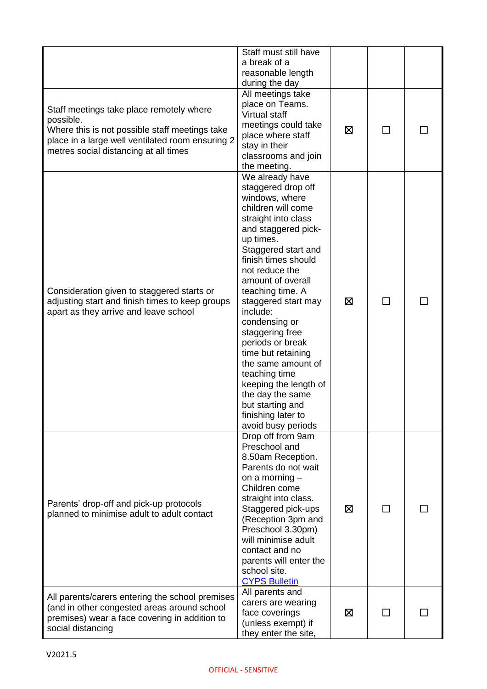|                                                                                                                                                                                                      | Staff must still have<br>a break of a<br>reasonable length<br>during the day                                                                                                                                                                                                                                                                                                                                                                                                                                           |   |              |  |
|------------------------------------------------------------------------------------------------------------------------------------------------------------------------------------------------------|------------------------------------------------------------------------------------------------------------------------------------------------------------------------------------------------------------------------------------------------------------------------------------------------------------------------------------------------------------------------------------------------------------------------------------------------------------------------------------------------------------------------|---|--------------|--|
| Staff meetings take place remotely where<br>possible.<br>Where this is not possible staff meetings take<br>place in a large well ventilated room ensuring 2<br>metres social distancing at all times | All meetings take<br>place on Teams.<br><b>Virtual staff</b><br>meetings could take<br>place where staff<br>stay in their<br>classrooms and join<br>the meeting.                                                                                                                                                                                                                                                                                                                                                       | ⊠ | $\mathbf{I}$ |  |
| Consideration given to staggered starts or<br>adjusting start and finish times to keep groups<br>apart as they arrive and leave school                                                               | We already have<br>staggered drop off<br>windows, where<br>children will come<br>straight into class<br>and staggered pick-<br>up times.<br>Staggered start and<br>finish times should<br>not reduce the<br>amount of overall<br>teaching time. A<br>staggered start may<br>include:<br>condensing or<br>staggering free<br>periods or break<br>time but retaining<br>the same amount of<br>teaching time<br>keeping the length of<br>the day the same<br>but starting and<br>finishing later to<br>avoid busy periods | ⊠ | $\mathsf{L}$ |  |
| Parents' drop-off and pick-up protocols<br>planned to minimise adult to adult contact                                                                                                                | Drop off from 9am<br>Preschool and<br>8.50am Reception.<br>Parents do not wait<br>on a morning $-$<br>Children come<br>straight into class.<br>Staggered pick-ups<br>(Reception 3pm and<br>Preschool 3.30pm)<br>will minimise adult<br>contact and no<br>parents will enter the<br>school site.<br><b>CYPS Bulletin</b>                                                                                                                                                                                                | ⊠ | ΓΙ           |  |
| All parents/carers entering the school premises<br>(and in other congested areas around school<br>premises) wear a face covering in addition to<br>social distancing                                 | All parents and<br>carers are wearing<br>face coverings<br>(unless exempt) if<br>they enter the site,                                                                                                                                                                                                                                                                                                                                                                                                                  | ⊠ | П            |  |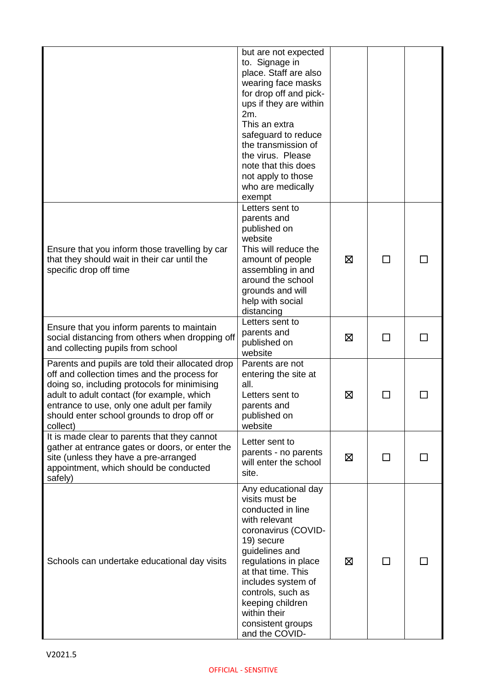|                                                                                                                                                                                                                                                                                                        | but are not expected<br>to. Signage in<br>place. Staff are also<br>wearing face masks<br>for drop off and pick-<br>ups if they are within<br>2m.<br>This an extra<br>safeguard to reduce<br>the transmission of<br>the virus. Please<br>note that this does<br>not apply to those<br>who are medically<br>exempt |   |        |    |
|--------------------------------------------------------------------------------------------------------------------------------------------------------------------------------------------------------------------------------------------------------------------------------------------------------|------------------------------------------------------------------------------------------------------------------------------------------------------------------------------------------------------------------------------------------------------------------------------------------------------------------|---|--------|----|
| Ensure that you inform those travelling by car<br>that they should wait in their car until the<br>specific drop off time                                                                                                                                                                               | Letters sent to<br>parents and<br>published on<br>website<br>This will reduce the<br>amount of people<br>assembling in and<br>around the school<br>grounds and will<br>help with social<br>distancing                                                                                                            | ⊠ | ΙI     |    |
| Ensure that you inform parents to maintain<br>social distancing from others when dropping off<br>and collecting pupils from school                                                                                                                                                                     | Letters sent to<br>parents and<br>published on<br>website                                                                                                                                                                                                                                                        | ⊠ | $\Box$ | ΙI |
| Parents and pupils are told their allocated drop<br>off and collection times and the process for<br>doing so, including protocols for minimising<br>adult to adult contact (for example, which<br>entrance to use, only one adult per family<br>should enter school grounds to drop off or<br>collect) | Parents are not<br>entering the site at<br>all.<br>Letters sent to<br>parents and<br>published on<br>website                                                                                                                                                                                                     | ⊠ |        |    |
| It is made clear to parents that they cannot<br>gather at entrance gates or doors, or enter the<br>site (unless they have a pre-arranged<br>appointment, which should be conducted<br>safely)                                                                                                          | Letter sent to<br>parents - no parents<br>will enter the school<br>site.                                                                                                                                                                                                                                         | ⊠ |        |    |
| Schools can undertake educational day visits                                                                                                                                                                                                                                                           | Any educational day<br>visits must be<br>conducted in line<br>with relevant<br>coronavirus (COVID-<br>19) secure<br>guidelines and<br>regulations in place<br>at that time. This<br>includes system of<br>controls, such as<br>keeping children<br>within their<br>consistent groups<br>and the COVID-           | ⊠ | ΙI     |    |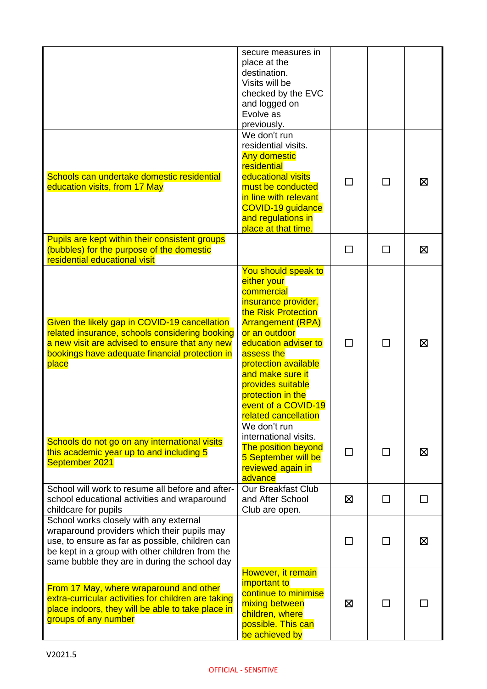|                                                                                                                                                                                                                                              | secure measures in<br>place at the<br>destination.<br>Visits will be<br>checked by the EVC<br>and logged on<br>Evolve as<br>previously.                                                                                                                                                                                |        |        |   |
|----------------------------------------------------------------------------------------------------------------------------------------------------------------------------------------------------------------------------------------------|------------------------------------------------------------------------------------------------------------------------------------------------------------------------------------------------------------------------------------------------------------------------------------------------------------------------|--------|--------|---|
| Schools can undertake domestic residential<br>education visits, from 17 May                                                                                                                                                                  | We don't run<br>residential visits.<br><b>Any domestic</b><br>residential<br>educational visits<br>must be conducted<br>in line with relevant<br>COVID-19 guidance<br>and regulations in<br>place at that time.                                                                                                        | П      | $\Box$ | ⊠ |
| Pupils are kept within their consistent groups<br>(bubbles) for the purpose of the domestic<br>residential educational visit                                                                                                                 |                                                                                                                                                                                                                                                                                                                        | $\Box$ | П      | ⊠ |
| Given the likely gap in COVID-19 cancellation<br>related insurance, schools considering booking<br>a new visit are advised to ensure that any new<br>bookings have adequate financial protection in<br>place                                 | You should speak to<br>either your<br>commercial<br>insurance provider,<br>the Risk Protection<br><b>Arrangement (RPA)</b><br>or an outdoor<br>education adviser to<br>assess the<br>protection available<br>and make sure it<br>provides suitable<br>protection in the<br>event of a COVID-19<br>related cancellation | П      | $\Box$ | X |
| Schools do not go on any international visits<br>this academic year up to and including 5<br>September 2021                                                                                                                                  | We don't run<br>international visits.<br><b>The position beyond</b><br>5 September will be<br>reviewed again in<br>advance                                                                                                                                                                                             |        |        | 区 |
| School will work to resume all before and after-<br>school educational activities and wraparound<br>childcare for pupils                                                                                                                     | <b>Our Breakfast Club</b><br>and After School<br>Club are open.                                                                                                                                                                                                                                                        | ⊠      | □      | П |
| School works closely with any external<br>wraparound providers which their pupils may<br>use, to ensure as far as possible, children can<br>be kept in a group with other children from the<br>same bubble they are in during the school day |                                                                                                                                                                                                                                                                                                                        | ΙI     |        | ⊠ |
| From 17 May, where wraparound and other<br>extra-curricular activities for children are taking<br>place indoors, they will be able to take place in<br>groups of any number                                                                  | However, it remain<br>important to<br>continue to minimise<br>mixing between<br>children, where<br>possible. This can<br>be achieved by                                                                                                                                                                                | ⊠      |        |   |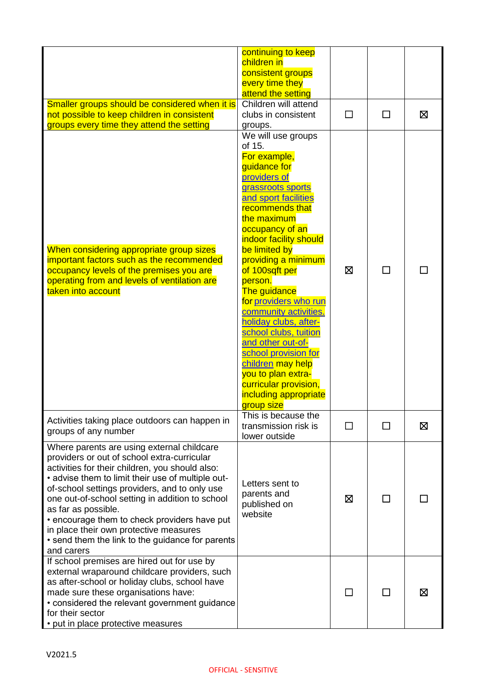|                                                                                                                                                                                                                                                                                                                                                                                                                                                                                          | continuing to keep<br>children in<br>consistent groups<br>every time they<br>attend the setting                                                                                                                                                                                                                                                                                                                                                                                                                                                           |        |              |   |
|------------------------------------------------------------------------------------------------------------------------------------------------------------------------------------------------------------------------------------------------------------------------------------------------------------------------------------------------------------------------------------------------------------------------------------------------------------------------------------------|-----------------------------------------------------------------------------------------------------------------------------------------------------------------------------------------------------------------------------------------------------------------------------------------------------------------------------------------------------------------------------------------------------------------------------------------------------------------------------------------------------------------------------------------------------------|--------|--------------|---|
| Smaller groups should be considered when it is<br>not possible to keep children in consistent<br>groups every time they attend the setting                                                                                                                                                                                                                                                                                                                                               | Children will attend<br>clubs in consistent<br>groups.                                                                                                                                                                                                                                                                                                                                                                                                                                                                                                    | □      | П            | 区 |
| When considering appropriate group sizes<br>important factors such as the recommended<br>occupancy levels of the premises you are<br>operating from and levels of ventilation are<br>taken into account                                                                                                                                                                                                                                                                                  | We will use groups<br>of 15.<br>For example,<br>guidance for<br>providers of<br>grassroots sports<br>and sport facilities<br>recommends that<br>the maximum<br>occupancy of an<br>indoor facility should<br>be limited by<br>providing a minimum<br>of 100sqft per<br>person.<br>The guidance<br>for providers who run<br>community activities.<br>holiday clubs, after-<br>school clubs, tuition<br>and other out-of-<br>school provision for<br>children may help<br>you to plan extra-<br>curricular provision,<br>including appropriate<br>group size | ⊠      |              |   |
| Activities taking place outdoors can happen in<br>groups of any number                                                                                                                                                                                                                                                                                                                                                                                                                   | This is because the<br>transmission risk is<br>lower outside                                                                                                                                                                                                                                                                                                                                                                                                                                                                                              | $\Box$ |              | ⊠ |
| Where parents are using external childcare<br>providers or out of school extra-curricular<br>activities for their children, you should also:<br>• advise them to limit their use of multiple out-<br>of-school settings providers, and to only use<br>one out-of-school setting in addition to school<br>as far as possible.<br>• encourage them to check providers have put<br>in place their own protective measures<br>• send them the link to the guidance for parents<br>and carers | Letters sent to<br>parents and<br>published on<br>website                                                                                                                                                                                                                                                                                                                                                                                                                                                                                                 | ⊠      | $\mathsf{L}$ |   |
| If school premises are hired out for use by<br>external wraparound childcare providers, such<br>as after-school or holiday clubs, school have<br>made sure these organisations have:<br>• considered the relevant government guidance<br>for their sector<br>• put in place protective measures                                                                                                                                                                                          |                                                                                                                                                                                                                                                                                                                                                                                                                                                                                                                                                           |        |              | ⊠ |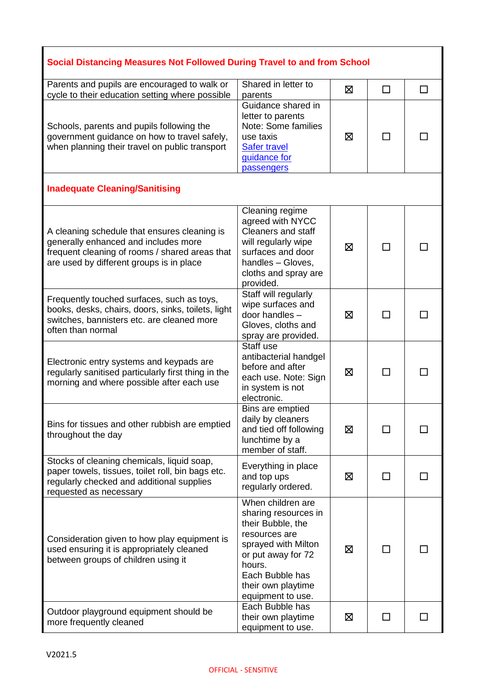| Social Distancing Measures Not Followed During Travel to and from School                                                                                                           |                                                                                                                                                                                                      |   |         |    |  |
|------------------------------------------------------------------------------------------------------------------------------------------------------------------------------------|------------------------------------------------------------------------------------------------------------------------------------------------------------------------------------------------------|---|---------|----|--|
| Parents and pupils are encouraged to walk or<br>cycle to their education setting where possible                                                                                    | Shared in letter to<br>parents                                                                                                                                                                       | ⊠ | $\perp$ | ΙI |  |
| Schools, parents and pupils following the<br>government guidance on how to travel safely,<br>when planning their travel on public transport                                        | Guidance shared in<br>letter to parents<br>Note: Some families<br>use taxis<br><b>Safer travel</b><br>guidance for<br>passengers                                                                     | ⊠ |         |    |  |
| <b>Inadequate Cleaning/Sanitising</b>                                                                                                                                              |                                                                                                                                                                                                      |   |         |    |  |
| A cleaning schedule that ensures cleaning is<br>generally enhanced and includes more<br>frequent cleaning of rooms / shared areas that<br>are used by different groups is in place | Cleaning regime<br>agreed with NYCC<br><b>Cleaners and staff</b><br>will regularly wipe<br>surfaces and door<br>handles - Gloves,<br>cloths and spray are<br>provided.                               | ⊠ |         |    |  |
| Frequently touched surfaces, such as toys,<br>books, desks, chairs, doors, sinks, toilets, light<br>switches, bannisters etc. are cleaned more<br>often than normal                | Staff will regularly<br>wipe surfaces and<br>door handles -<br>Gloves, cloths and<br>spray are provided.                                                                                             | ⊠ |         |    |  |
| Electronic entry systems and keypads are<br>regularly sanitised particularly first thing in the<br>morning and where possible after each use                                       | Staff use<br>antibacterial handgel<br>before and after<br>each use. Note: Sign<br>in system is not<br>electronic.                                                                                    | ⊠ |         |    |  |
| Bins for tissues and other rubbish are emptied<br>throughout the day                                                                                                               | Bins are emptied<br>daily by cleaners<br>and tied off following<br>lunchtime by a<br>member of staff.                                                                                                | 区 |         |    |  |
| Stocks of cleaning chemicals, liquid soap,<br>paper towels, tissues, toilet roll, bin bags etc.<br>regularly checked and additional supplies<br>requested as necessary             | Everything in place<br>and top ups<br>regularly ordered.                                                                                                                                             | 区 |         |    |  |
| Consideration given to how play equipment is<br>used ensuring it is appropriately cleaned<br>between groups of children using it                                                   | When children are<br>sharing resources in<br>their Bubble, the<br>resources are<br>sprayed with Milton<br>or put away for 72<br>hours.<br>Each Bubble has<br>their own playtime<br>equipment to use. | 区 |         |    |  |
| Outdoor playground equipment should be<br>more frequently cleaned                                                                                                                  | Each Bubble has<br>their own playtime<br>equipment to use.                                                                                                                                           | 区 | ΙI      |    |  |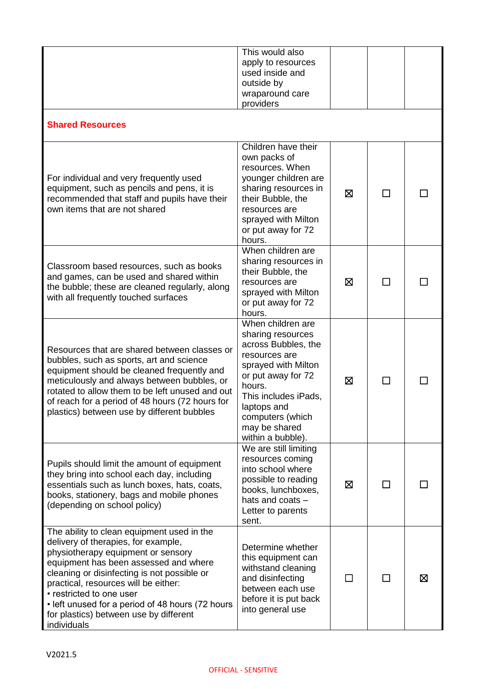|                                                                                                                                                                                                                                                                                                                                                                                                  | This would also<br>apply to resources<br>used inside and<br>outside by<br>wraparound care<br>providers                                                                                                                                 |   |    |   |
|--------------------------------------------------------------------------------------------------------------------------------------------------------------------------------------------------------------------------------------------------------------------------------------------------------------------------------------------------------------------------------------------------|----------------------------------------------------------------------------------------------------------------------------------------------------------------------------------------------------------------------------------------|---|----|---|
| <b>Shared Resources</b>                                                                                                                                                                                                                                                                                                                                                                          |                                                                                                                                                                                                                                        |   |    |   |
| For individual and very frequently used<br>equipment, such as pencils and pens, it is<br>recommended that staff and pupils have their<br>own items that are not shared                                                                                                                                                                                                                           | Children have their<br>own packs of<br>resources. When<br>younger children are<br>sharing resources in<br>their Bubble, the<br>resources are<br>sprayed with Milton<br>or put away for 72<br>hours.                                    | ⊠ | П  |   |
| Classroom based resources, such as books<br>and games, can be used and shared within<br>the bubble; these are cleaned regularly, along<br>with all frequently touched surfaces                                                                                                                                                                                                                   | When children are<br>sharing resources in<br>their Bubble, the<br>resources are<br>sprayed with Milton<br>or put away for 72<br>hours.                                                                                                 | ⊠ | П  |   |
| Resources that are shared between classes or<br>bubbles, such as sports, art and science<br>equipment should be cleaned frequently and<br>meticulously and always between bubbles, or<br>rotated to allow them to be left unused and out<br>of reach for a period of 48 hours (72 hours for<br>plastics) between use by different bubbles                                                        | When children are<br>sharing resources<br>across Bubbles, the<br>resources are<br>sprayed with Milton<br>or put away for 72<br>hours.<br>This includes iPads,<br>laptops and<br>computers (which<br>may be shared<br>within a bubble). | ⊠ | ΙI |   |
| Pupils should limit the amount of equipment<br>they bring into school each day, including<br>essentials such as lunch boxes, hats, coats,<br>books, stationery, bags and mobile phones<br>(depending on school policy)                                                                                                                                                                           | We are still limiting<br>resources coming<br>into school where<br>possible to reading<br>books, lunchboxes,<br>hats and coats -<br>Letter to parents<br>sent.                                                                          | ⊠ | П  |   |
| The ability to clean equipment used in the<br>delivery of therapies, for example,<br>physiotherapy equipment or sensory<br>equipment has been assessed and where<br>cleaning or disinfecting is not possible or<br>practical, resources will be either:<br>• restricted to one user<br>• left unused for a period of 48 hours (72 hours<br>for plastics) between use by different<br>individuals | Determine whether<br>this equipment can<br>withstand cleaning<br>and disinfecting<br>between each use<br>before it is put back<br>into general use                                                                                     |   |    | ⊠ |
| V2021.5                                                                                                                                                                                                                                                                                                                                                                                          | <b>OFFICIAL - SENSITIVE</b>                                                                                                                                                                                                            |   |    |   |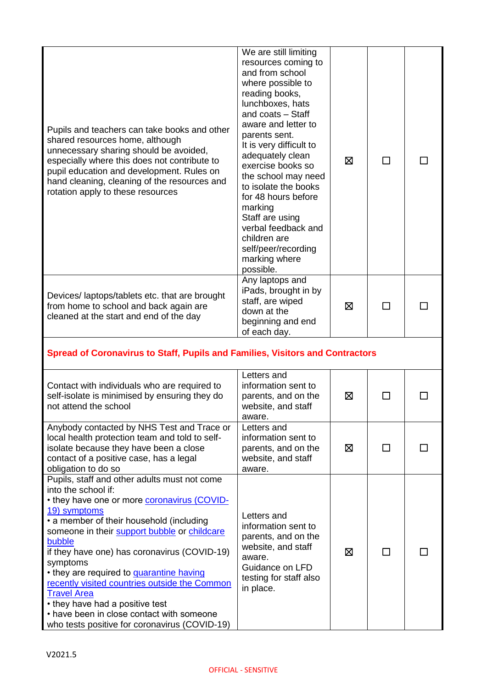| Pupils and teachers can take books and other<br>shared resources home, although<br>unnecessary sharing should be avoided,<br>especially where this does not contribute to<br>pupil education and development. Rules on<br>hand cleaning, cleaning of the resources and<br>rotation apply to these resources                                                                                                                                                              | We are still limiting<br>resources coming to<br>and from school<br>where possible to<br>reading books,<br>lunchboxes, hats<br>and coats - Staff<br>aware and letter to<br>parents sent.<br>It is very difficult to<br>adequately clean<br>exercise books so<br>the school may need<br>to isolate the books<br>for 48 hours before<br>marking<br>Staff are using<br>verbal feedback and<br>children are<br>self/peer/recording<br>marking where<br>possible. | ⊠ | ΙI           |  |
|--------------------------------------------------------------------------------------------------------------------------------------------------------------------------------------------------------------------------------------------------------------------------------------------------------------------------------------------------------------------------------------------------------------------------------------------------------------------------|-------------------------------------------------------------------------------------------------------------------------------------------------------------------------------------------------------------------------------------------------------------------------------------------------------------------------------------------------------------------------------------------------------------------------------------------------------------|---|--------------|--|
| Devices/laptops/tablets etc. that are brought<br>from home to school and back again are<br>cleaned at the start and end of the day                                                                                                                                                                                                                                                                                                                                       | Any laptops and<br>iPads, brought in by<br>staff, are wiped<br>down at the<br>beginning and end<br>of each day.                                                                                                                                                                                                                                                                                                                                             | ⊠ |              |  |
| Spread of Coronavirus to Staff, Pupils and Families, Visitors and Contractors                                                                                                                                                                                                                                                                                                                                                                                            |                                                                                                                                                                                                                                                                                                                                                                                                                                                             |   |              |  |
| Contact with individuals who are required to<br>self-isolate is minimised by ensuring they do<br>not attend the school                                                                                                                                                                                                                                                                                                                                                   | Letters and<br>information sent to<br>parents, and on the<br>website, and staff<br>aware.                                                                                                                                                                                                                                                                                                                                                                   | ⊠ | ΙI           |  |
| Anybody contacted by NHS Test and Trace or<br>local health protection team and told to self-<br>isolate because they have been a close<br>contact of a positive case, has a legal<br>obligation to do so                                                                                                                                                                                                                                                                 | Letters and<br>information sent to<br>parents, and on the<br>website, and staff<br>aware.                                                                                                                                                                                                                                                                                                                                                                   | 区 | $\mathsf{L}$ |  |
| Pupils, staff and other adults must not come<br>into the school if:<br>• they have one or more <b>coronavirus (COVID-</b><br>19) symptoms<br>• a member of their household (including<br>someone in their support bubble or childcare<br>bubble<br>if they have one) has coronavirus (COVID-19)<br>symptoms<br>• they are required to <b>quarantine having</b><br>recently visited countries outside the Common<br><b>Travel Area</b><br>• they have had a positive test | Letters and<br>information sent to<br>parents, and on the<br>website, and staff<br>aware.<br>Guidance on LFD<br>testing for staff also<br>in place.                                                                                                                                                                                                                                                                                                         | ⊠ |              |  |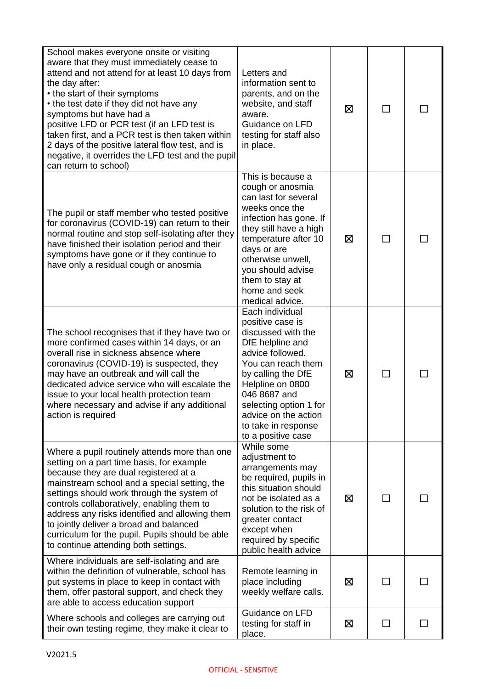| School makes everyone onsite or visiting<br>aware that they must immediately cease to<br>attend and not attend for at least 10 days from<br>the day after:<br>• the start of their symptoms<br>• the test date if they did not have any<br>symptoms but have had a<br>positive LFD or PCR test (if an LFD test is<br>taken first, and a PCR test is then taken within<br>2 days of the positive lateral flow test, and is<br>negative, it overrides the LFD test and the pupil<br>can return to school) | Letters and<br>information sent to<br>parents, and on the<br>website, and staff<br>aware.<br>Guidance on LFD<br>testing for staff also<br>in place.                                                                                                                              | ⊠ | П                        |  |
|---------------------------------------------------------------------------------------------------------------------------------------------------------------------------------------------------------------------------------------------------------------------------------------------------------------------------------------------------------------------------------------------------------------------------------------------------------------------------------------------------------|----------------------------------------------------------------------------------------------------------------------------------------------------------------------------------------------------------------------------------------------------------------------------------|---|--------------------------|--|
| The pupil or staff member who tested positive<br>for coronavirus (COVID-19) can return to their<br>normal routine and stop self-isolating after they<br>have finished their isolation period and their<br>symptoms have gone or if they continue to<br>have only a residual cough or anosmia                                                                                                                                                                                                            | This is because a<br>cough or anosmia<br>can last for several<br>weeks once the<br>infection has gone. If<br>they still have a high<br>temperature after 10<br>days or are<br>otherwise unwell,<br>you should advise<br>them to stay at<br>home and seek<br>medical advice.      | ⊠ | □                        |  |
| The school recognises that if they have two or<br>more confirmed cases within 14 days, or an<br>overall rise in sickness absence where<br>coronavirus (COVID-19) is suspected, they<br>may have an outbreak and will call the<br>dedicated advice service who will escalate the<br>issue to your local health protection team<br>where necessary and advise if any additional<br>action is required                                                                                                     | Each individual<br>positive case is<br>discussed with the<br>DfE helpline and<br>advice followed.<br>You can reach them<br>by calling the DfE<br>Helpline on 0800<br>046 8687 and<br>selecting option 1 for<br>advice on the action<br>to take in response<br>to a positive case | ⊠ | $\mathsf{L}$             |  |
| Where a pupil routinely attends more than one<br>setting on a part time basis, for example<br>because they are dual registered at a<br>mainstream school and a special setting, the<br>settings should work through the system of<br>controls collaboratively, enabling them to<br>address any risks identified and allowing them<br>to jointly deliver a broad and balanced<br>curriculum for the pupil. Pupils should be able<br>to continue attending both settings.                                 | While some<br>adjustment to<br>arrangements may<br>be required, pupils in<br>this situation should<br>not be isolated as a<br>solution to the risk of<br>greater contact<br>except when<br>required by specific<br>public health advice                                          | ⊠ | ΙI                       |  |
| Where individuals are self-isolating and are<br>within the definition of vulnerable, school has<br>put systems in place to keep in contact with<br>them, offer pastoral support, and check they<br>are able to access education support                                                                                                                                                                                                                                                                 | Remote learning in<br>place including<br>weekly welfare calls.                                                                                                                                                                                                                   | ⊠ | ΙI                       |  |
| Where schools and colleges are carrying out<br>their own testing regime, they make it clear to                                                                                                                                                                                                                                                                                                                                                                                                          | Guidance on LFD<br>testing for staff in<br>place.                                                                                                                                                                                                                                | ⊠ | $\overline{\phantom{a}}$ |  |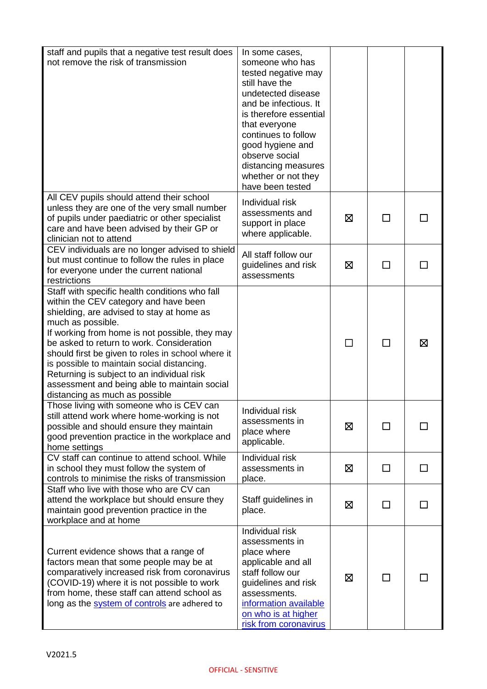| staff and pupils that a negative test result does<br>not remove the risk of transmission                                                                                                                                                                                                                                                                                                                                                                                                    | In some cases,<br>someone who has<br>tested negative may<br>still have the<br>undetected disease<br>and be infectious. It<br>is therefore essential<br>that everyone<br>continues to follow<br>good hygiene and<br>observe social<br>distancing measures<br>whether or not they<br>have been tested |   |                          |    |
|---------------------------------------------------------------------------------------------------------------------------------------------------------------------------------------------------------------------------------------------------------------------------------------------------------------------------------------------------------------------------------------------------------------------------------------------------------------------------------------------|-----------------------------------------------------------------------------------------------------------------------------------------------------------------------------------------------------------------------------------------------------------------------------------------------------|---|--------------------------|----|
| All CEV pupils should attend their school<br>unless they are one of the very small number<br>of pupils under paediatric or other specialist<br>care and have been advised by their GP or<br>clinician not to attend                                                                                                                                                                                                                                                                         | Individual risk<br>assessments and<br>support in place<br>where applicable.                                                                                                                                                                                                                         | ⊠ | ΙI                       |    |
| CEV individuals are no longer advised to shield<br>but must continue to follow the rules in place<br>for everyone under the current national<br>restrictions                                                                                                                                                                                                                                                                                                                                | All staff follow our<br>guidelines and risk<br>assessments                                                                                                                                                                                                                                          | ⊠ | ΙI                       |    |
| Staff with specific health conditions who fall<br>within the CEV category and have been<br>shielding, are advised to stay at home as<br>much as possible.<br>If working from home is not possible, they may<br>be asked to return to work. Consideration<br>should first be given to roles in school where it<br>is possible to maintain social distancing.<br>Returning is subject to an individual risk<br>assessment and being able to maintain social<br>distancing as much as possible |                                                                                                                                                                                                                                                                                                     |   | $\overline{\phantom{a}}$ | ⊠  |
| Those living with someone who is CEV can<br>still attend work where home-working is not<br>possible and should ensure they maintain<br>good prevention practice in the workplace and<br>home settings                                                                                                                                                                                                                                                                                       | Individual risk<br>assessments in<br>place where<br>applicable.                                                                                                                                                                                                                                     | ⊠ | $\blacksquare$           |    |
| CV staff can continue to attend school. While<br>in school they must follow the system of<br>controls to minimise the risks of transmission                                                                                                                                                                                                                                                                                                                                                 | Individual risk<br>assessments in<br>place.                                                                                                                                                                                                                                                         | 区 | □                        | □  |
| Staff who live with those who are CV can<br>attend the workplace but should ensure they<br>maintain good prevention practice in the<br>workplace and at home                                                                                                                                                                                                                                                                                                                                | Staff guidelines in<br>place.                                                                                                                                                                                                                                                                       | 区 | П                        | П  |
| Current evidence shows that a range of<br>factors mean that some people may be at<br>comparatively increased risk from coronavirus<br>(COVID-19) where it is not possible to work<br>from home, these staff can attend school as<br>long as the system of controls are adhered to                                                                                                                                                                                                           | Individual risk<br>assessments in<br>place where<br>applicable and all<br>staff follow our<br>guidelines and risk<br>assessments.<br>information available<br>on who is at higher<br>risk from coronavirus                                                                                          | ⊠ | П                        | ΙI |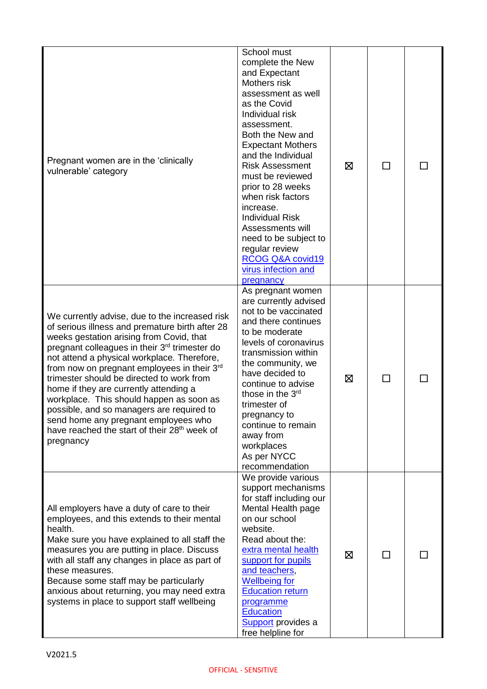| Pregnant women are in the 'clinically<br>vulnerable' category                                                                                                                                                                                                                                                                                                                                                                                                                                                                                                                                               | School must<br>complete the New<br>and Expectant<br>Mothers risk<br>assessment as well<br>as the Covid<br>Individual risk<br>assessment.<br>Both the New and<br><b>Expectant Mothers</b><br>and the Individual<br><b>Risk Assessment</b><br>must be reviewed<br>prior to 28 weeks<br>when risk factors<br>increase.<br><b>Individual Risk</b><br>Assessments will<br>need to be subject to<br>regular review<br>RCOG Q&A covid19<br>virus infection and<br>pregnancy | ⊠ | ΙI |  |
|-------------------------------------------------------------------------------------------------------------------------------------------------------------------------------------------------------------------------------------------------------------------------------------------------------------------------------------------------------------------------------------------------------------------------------------------------------------------------------------------------------------------------------------------------------------------------------------------------------------|----------------------------------------------------------------------------------------------------------------------------------------------------------------------------------------------------------------------------------------------------------------------------------------------------------------------------------------------------------------------------------------------------------------------------------------------------------------------|---|----|--|
| We currently advise, due to the increased risk<br>of serious illness and premature birth after 28<br>weeks gestation arising from Covid, that<br>pregnant colleagues in their 3 <sup>rd</sup> trimester do<br>not attend a physical workplace. Therefore,<br>from now on pregnant employees in their $3rd$<br>trimester should be directed to work from<br>home if they are currently attending a<br>workplace. This should happen as soon as<br>possible, and so managers are required to<br>send home any pregnant employees who<br>have reached the start of their 28 <sup>th</sup> week of<br>pregnancy | As pregnant women<br>are currently advised<br>not to be vaccinated<br>and there continues<br>to be moderate<br>levels of coronavirus<br>transmission within<br>the community, we<br>have decided to<br>continue to advise<br>those in the 3 <sup>rd</sup><br>trimester of<br>pregnancy to<br>continue to remain<br>away from<br>workplaces<br>As per NYCC<br>recommendation                                                                                          | ⊠ | П  |  |
| All employers have a duty of care to their<br>employees, and this extends to their mental<br>health.<br>Make sure you have explained to all staff the<br>measures you are putting in place. Discuss<br>with all staff any changes in place as part of<br>these measures.<br>Because some staff may be particularly<br>anxious about returning, you may need extra<br>systems in place to support staff wellbeing                                                                                                                                                                                            | We provide various<br>support mechanisms<br>for staff including our<br>Mental Health page<br>on our school<br>website.<br>Read about the:<br>extra mental health<br>support for pupils<br>and teachers,<br><b>Wellbeing for</b><br><b>Education return</b><br>programme<br><b>Education</b><br><b>Support</b> provides a<br>free helpline for                                                                                                                        | ⊠ |    |  |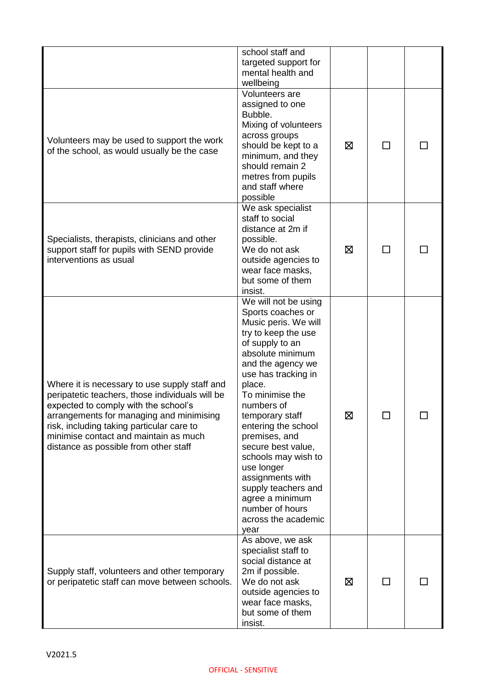|                                                                                                                                                                                                                                                                                                                     | school staff and<br>targeted support for<br>mental health and<br>wellbeing                                                                                                                                                                                                                                                                                                                                                                                   |   |              |  |
|---------------------------------------------------------------------------------------------------------------------------------------------------------------------------------------------------------------------------------------------------------------------------------------------------------------------|--------------------------------------------------------------------------------------------------------------------------------------------------------------------------------------------------------------------------------------------------------------------------------------------------------------------------------------------------------------------------------------------------------------------------------------------------------------|---|--------------|--|
| Volunteers may be used to support the work<br>of the school, as would usually be the case                                                                                                                                                                                                                           | Volunteers are<br>assigned to one<br>Bubble.<br>Mixing of volunteers<br>across groups<br>should be kept to a<br>minimum, and they<br>should remain 2<br>metres from pupils<br>and staff where<br>possible                                                                                                                                                                                                                                                    | ⊠ |              |  |
| Specialists, therapists, clinicians and other<br>support staff for pupils with SEND provide<br>interventions as usual                                                                                                                                                                                               | We ask specialist<br>staff to social<br>distance at 2m if<br>possible.<br>We do not ask<br>outside agencies to<br>wear face masks,<br>but some of them<br>insist.                                                                                                                                                                                                                                                                                            | ⊠ | $\mathbf{I}$ |  |
| Where it is necessary to use supply staff and<br>peripatetic teachers, those individuals will be<br>expected to comply with the school's<br>arrangements for managing and minimising<br>risk, including taking particular care to<br>minimise contact and maintain as much<br>distance as possible from other staff | We will not be using<br>Sports coaches or<br>Music peris. We will<br>try to keep the use<br>of supply to an<br>absolute minimum<br>and the agency we<br>use has tracking in<br>place.<br>To minimise the<br>numbers of<br>temporary staff<br>entering the school<br>premises, and<br>secure best value,<br>schools may wish to<br>use longer<br>assignments with<br>supply teachers and<br>agree a minimum<br>number of hours<br>across the academic<br>year | 区 |              |  |
| Supply staff, volunteers and other temporary<br>or peripatetic staff can move between schools.                                                                                                                                                                                                                      | As above, we ask<br>specialist staff to<br>social distance at<br>2m if possible.<br>We do not ask<br>outside agencies to<br>wear face masks,<br>but some of them<br>insist.                                                                                                                                                                                                                                                                                  | ⊠ | ΙI           |  |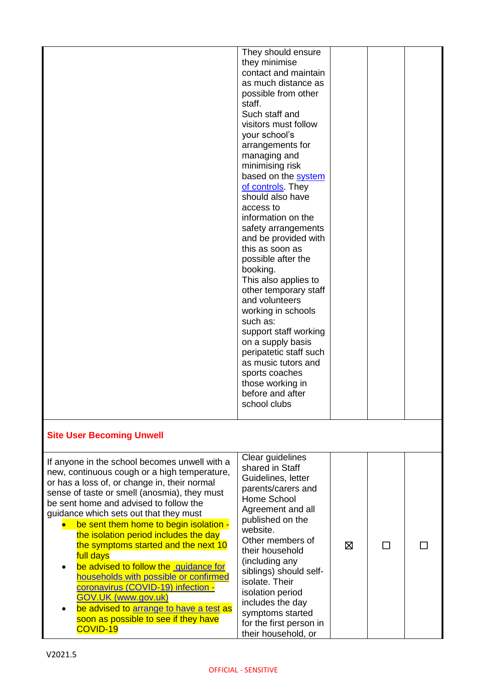|                                                                                                                                                                                                                                                                                                                                                                                                                                                                                                                                                                                                                                                                                       | They should ensure<br>they minimise<br>contact and maintain<br>as much distance as<br>possible from other<br>staff.<br>Such staff and<br>visitors must follow<br>your school's<br>arrangements for<br>managing and<br>minimising risk<br>based on the system<br>of controls. They<br>should also have<br>access to<br>information on the<br>safety arrangements<br>and be provided with<br>this as soon as<br>possible after the<br>booking.<br>This also applies to<br>other temporary staff<br>and volunteers<br>working in schools<br>such as:<br>support staff working<br>on a supply basis<br>peripatetic staff such<br>as music tutors and<br>sports coaches<br>those working in<br>before and after<br>school clubs |   |  |
|---------------------------------------------------------------------------------------------------------------------------------------------------------------------------------------------------------------------------------------------------------------------------------------------------------------------------------------------------------------------------------------------------------------------------------------------------------------------------------------------------------------------------------------------------------------------------------------------------------------------------------------------------------------------------------------|----------------------------------------------------------------------------------------------------------------------------------------------------------------------------------------------------------------------------------------------------------------------------------------------------------------------------------------------------------------------------------------------------------------------------------------------------------------------------------------------------------------------------------------------------------------------------------------------------------------------------------------------------------------------------------------------------------------------------|---|--|
| <b>Site User Becoming Unwell</b>                                                                                                                                                                                                                                                                                                                                                                                                                                                                                                                                                                                                                                                      |                                                                                                                                                                                                                                                                                                                                                                                                                                                                                                                                                                                                                                                                                                                            |   |  |
| If anyone in the school becomes unwell with a<br>new, continuous cough or a high temperature,<br>or has a loss of, or change in, their normal<br>sense of taste or smell (anosmia), they must<br>be sent home and advised to follow the<br>guidance which sets out that they must<br>be sent them home to begin isolation -<br>the isolation period includes the day<br>the symptoms started and the next 10<br>full days<br>be advised to follow the guidance for<br>households with possible or confirmed<br>coronavirus (COVID-19) infection -<br><b>GOV.UK (www.gov.uk)</b><br>be advised to arrange to have a test as<br>soon as possible to see if they have<br><b>COVID-19</b> | Clear guidelines<br>shared in Staff<br>Guidelines, letter<br>parents/carers and<br>Home School<br>Agreement and all<br>published on the<br>website.<br>Other members of<br>their household<br>(including any<br>siblings) should self-<br>isolate. Their<br>isolation period<br>includes the day<br>symptoms started<br>for the first person in<br>their household, or                                                                                                                                                                                                                                                                                                                                                     | ⊠ |  |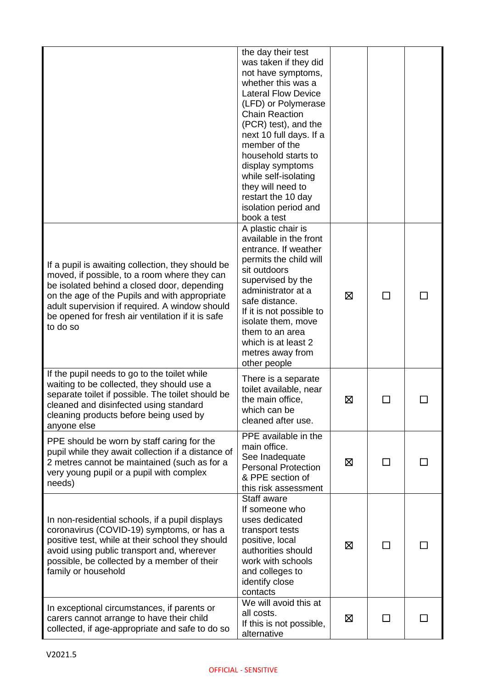|                                                                                                                                                                                                                                                                                                                      | the day their test<br>was taken if they did<br>not have symptoms,<br>whether this was a<br><b>Lateral Flow Device</b><br>(LFD) or Polymerase<br><b>Chain Reaction</b><br>(PCR) test), and the<br>next 10 full days. If a<br>member of the<br>household starts to<br>display symptoms<br>while self-isolating<br>they will need to<br>restart the 10 day<br>isolation period and<br>book a test |   |          |  |
|----------------------------------------------------------------------------------------------------------------------------------------------------------------------------------------------------------------------------------------------------------------------------------------------------------------------|------------------------------------------------------------------------------------------------------------------------------------------------------------------------------------------------------------------------------------------------------------------------------------------------------------------------------------------------------------------------------------------------|---|----------|--|
| If a pupil is awaiting collection, they should be<br>moved, if possible, to a room where they can<br>be isolated behind a closed door, depending<br>on the age of the Pupils and with appropriate<br>adult supervision if required. A window should<br>be opened for fresh air ventilation if it is safe<br>to do so | A plastic chair is<br>available in the front<br>entrance. If weather<br>permits the child will<br>sit outdoors<br>supervised by the<br>administrator at a<br>safe distance.<br>If it is not possible to<br>isolate them, move<br>them to an area<br>which is at least 2<br>metres away from<br>other people                                                                                    | ⊠ |          |  |
| If the pupil needs to go to the toilet while<br>waiting to be collected, they should use a<br>separate toilet if possible. The toilet should be<br>cleaned and disinfected using standard<br>cleaning products before being used by<br>anyone else                                                                   | There is a separate<br>toilet available, near<br>the main office,<br>which can be<br>cleaned after use.                                                                                                                                                                                                                                                                                        | ⊠ |          |  |
| PPE should be worn by staff caring for the<br>pupil while they await collection if a distance of<br>2 metres cannot be maintained (such as for a<br>very young pupil or a pupil with complex<br>needs)                                                                                                               | PPE available in the<br>main office.<br>See Inadequate<br><b>Personal Protection</b><br>& PPE section of<br>this risk assessment                                                                                                                                                                                                                                                               | ⊠ |          |  |
| In non-residential schools, if a pupil displays<br>coronavirus (COVID-19) symptoms, or has a<br>positive test, while at their school they should<br>avoid using public transport and, wherever<br>possible, be collected by a member of their<br>family or household                                                 | Staff aware<br>If someone who<br>uses dedicated<br>transport tests<br>positive, local<br>authorities should<br>work with schools<br>and colleges to<br>identify close<br>contacts                                                                                                                                                                                                              | ⊠ |          |  |
| In exceptional circumstances, if parents or<br>carers cannot arrange to have their child<br>collected, if age-appropriate and safe to do so                                                                                                                                                                          | We will avoid this at<br>all costs.<br>If this is not possible,<br>alternative                                                                                                                                                                                                                                                                                                                 | Ø | <b>I</b> |  |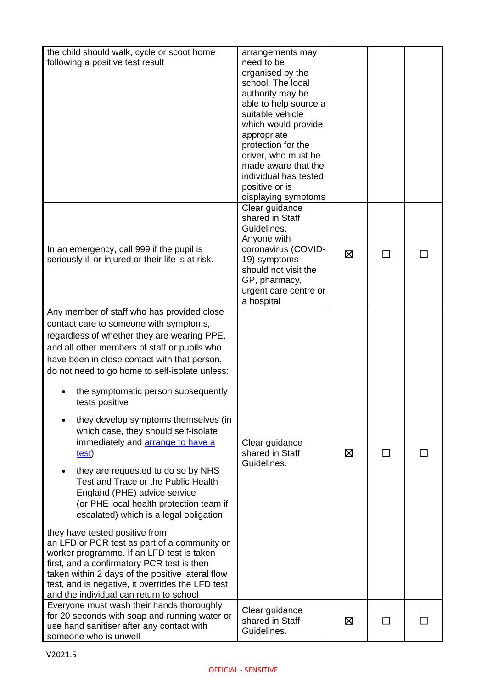| the child should walk, cycle or scoot home<br>following a positive test result                                                                                                                                                                                                                                                                                                                                                                                                                                                                                                                                                                                                                                                                                                                                                                                                                                                                                                                                        | arrangements may<br>need to be<br>organised by the<br>school. The local<br>authority may be<br>able to help source a<br>suitable vehicle<br>which would provide<br>appropriate<br>protection for the<br>driver, who must be<br>made aware that the<br>individual has tested<br>positive or is<br>displaying symptoms |   |              |  |
|-----------------------------------------------------------------------------------------------------------------------------------------------------------------------------------------------------------------------------------------------------------------------------------------------------------------------------------------------------------------------------------------------------------------------------------------------------------------------------------------------------------------------------------------------------------------------------------------------------------------------------------------------------------------------------------------------------------------------------------------------------------------------------------------------------------------------------------------------------------------------------------------------------------------------------------------------------------------------------------------------------------------------|----------------------------------------------------------------------------------------------------------------------------------------------------------------------------------------------------------------------------------------------------------------------------------------------------------------------|---|--------------|--|
| In an emergency, call 999 if the pupil is<br>seriously ill or injured or their life is at risk.                                                                                                                                                                                                                                                                                                                                                                                                                                                                                                                                                                                                                                                                                                                                                                                                                                                                                                                       | Clear guidance<br>shared in Staff<br>Guidelines.<br>Anyone with<br>coronavirus (COVID-<br>19) symptoms<br>should not visit the<br>GP, pharmacy,<br>urgent care centre or<br>a hospital                                                                                                                               | X |              |  |
| Any member of staff who has provided close<br>contact care to someone with symptoms,<br>regardless of whether they are wearing PPE,<br>and all other members of staff or pupils who<br>have been in close contact with that person,<br>do not need to go home to self-isolate unless:<br>the symptomatic person subsequently<br>tests positive<br>they develop symptoms themselves (in<br>which case, they should self-isolate<br>immediately and <b>arrange to have a</b><br>test)<br>they are requested to do so by NHS<br>Test and Trace or the Public Health<br>England (PHE) advice service<br>(or PHE local health protection team if<br>escalated) which is a legal obligation<br>they have tested positive from<br>an LFD or PCR test as part of a community or<br>worker programme. If an LFD test is taken<br>first, and a confirmatory PCR test is then<br>taken within 2 days of the positive lateral flow<br>test, and is negative, it overrides the LFD test<br>and the individual can return to school | Clear guidance<br>shared in Staff<br>Guidelines.                                                                                                                                                                                                                                                                     | ⊠ | ΙI           |  |
| Everyone must wash their hands thoroughly<br>for 20 seconds with soap and running water or<br>use hand sanitiser after any contact with<br>someone who is unwell                                                                                                                                                                                                                                                                                                                                                                                                                                                                                                                                                                                                                                                                                                                                                                                                                                                      | Clear guidance<br>shared in Staff<br>Guidelines.                                                                                                                                                                                                                                                                     | ⊠ | $\mathsf{L}$ |  |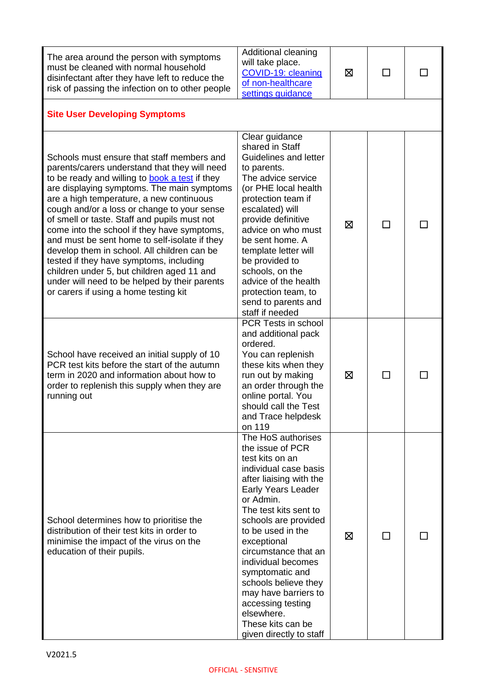| The area around the person with symptoms<br>must be cleaned with normal household<br>disinfectant after they have left to reduce the<br>risk of passing the infection on to other people                                                                                                                                                                                                                                                                                                                                                                                                                                                                                        | Additional cleaning<br>will take place.<br>COVID-19: cleaning<br>of non-healthcare<br>settings guidance                                                                                                                                                                                                                                                                                                                                          | ⊠ | П  |  |  |
|---------------------------------------------------------------------------------------------------------------------------------------------------------------------------------------------------------------------------------------------------------------------------------------------------------------------------------------------------------------------------------------------------------------------------------------------------------------------------------------------------------------------------------------------------------------------------------------------------------------------------------------------------------------------------------|--------------------------------------------------------------------------------------------------------------------------------------------------------------------------------------------------------------------------------------------------------------------------------------------------------------------------------------------------------------------------------------------------------------------------------------------------|---|----|--|--|
| <b>Site User Developing Symptoms</b>                                                                                                                                                                                                                                                                                                                                                                                                                                                                                                                                                                                                                                            |                                                                                                                                                                                                                                                                                                                                                                                                                                                  |   |    |  |  |
| Schools must ensure that staff members and<br>parents/carers understand that they will need<br>to be ready and willing to <b>book a test</b> if they<br>are displaying symptoms. The main symptoms<br>are a high temperature, a new continuous<br>cough and/or a loss or change to your sense<br>of smell or taste. Staff and pupils must not<br>come into the school if they have symptoms,<br>and must be sent home to self-isolate if they<br>develop them in school. All children can be<br>tested if they have symptoms, including<br>children under 5, but children aged 11 and<br>under will need to be helped by their parents<br>or carers if using a home testing kit | Clear guidance<br>shared in Staff<br>Guidelines and letter<br>to parents.<br>The advice service<br>(or PHE local health<br>protection team if<br>escalated) will<br>provide definitive<br>advice on who must<br>be sent home. A<br>template letter will<br>be provided to<br>schools, on the<br>advice of the health<br>protection team, to<br>send to parents and<br>staff if needed                                                            | ⊠ | П  |  |  |
| School have received an initial supply of 10<br>PCR test kits before the start of the autumn<br>term in 2020 and information about how to<br>order to replenish this supply when they are<br>running out                                                                                                                                                                                                                                                                                                                                                                                                                                                                        | PCR Tests in school<br>and additional pack<br>ordered.<br>You can replenish<br>these kits when they<br>run out by making<br>an order through the<br>online portal. You<br>should call the Test<br>and Trace helpdesk<br>on 119                                                                                                                                                                                                                   | ⊠ | П  |  |  |
| School determines how to prioritise the<br>distribution of their test kits in order to<br>minimise the impact of the virus on the<br>education of their pupils.                                                                                                                                                                                                                                                                                                                                                                                                                                                                                                                 | The HoS authorises<br>the issue of PCR<br>test kits on an<br>individual case basis<br>after liaising with the<br><b>Early Years Leader</b><br>or Admin.<br>The test kits sent to<br>schools are provided<br>to be used in the<br>exceptional<br>circumstance that an<br>individual becomes<br>symptomatic and<br>schools believe they<br>may have barriers to<br>accessing testing<br>elsewhere.<br>These kits can be<br>given directly to staff | ⊠ | ΙI |  |  |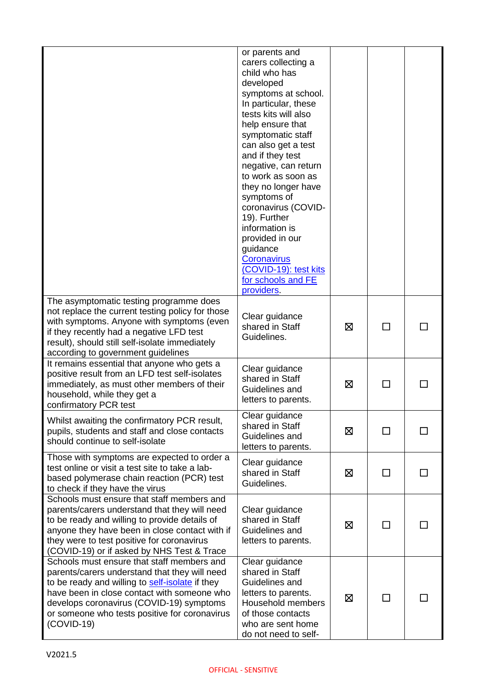|                                                                                                                                                                                                                                                                                                            | or parents and<br>carers collecting a<br>child who has<br>developed<br>symptoms at school.<br>In particular, these<br>tests kits will also<br>help ensure that<br>symptomatic staff<br>can also get a test<br>and if they test<br>negative, can return<br>to work as soon as<br>they no longer have<br>symptoms of<br>coronavirus (COVID-<br>19). Further<br>information is<br>provided in our<br>guidance<br><b>Coronavirus</b><br>(COVID-19): test kits<br>for schools and FE<br>providers. |   |              |  |
|------------------------------------------------------------------------------------------------------------------------------------------------------------------------------------------------------------------------------------------------------------------------------------------------------------|-----------------------------------------------------------------------------------------------------------------------------------------------------------------------------------------------------------------------------------------------------------------------------------------------------------------------------------------------------------------------------------------------------------------------------------------------------------------------------------------------|---|--------------|--|
| The asymptomatic testing programme does<br>not replace the current testing policy for those<br>with symptoms. Anyone with symptoms (even<br>if they recently had a negative LFD test<br>result), should still self-isolate immediately<br>according to government guidelines                               | Clear guidance<br>shared in Staff<br>Guidelines.                                                                                                                                                                                                                                                                                                                                                                                                                                              | 区 | ΙI           |  |
| It remains essential that anyone who gets a<br>positive result from an LFD test self-isolates<br>immediately, as must other members of their<br>household, while they get a<br>confirmatory PCR test                                                                                                       | Clear guidance<br>shared in Staff<br>Guidelines and<br>letters to parents.                                                                                                                                                                                                                                                                                                                                                                                                                    | 区 | $\mathbf{I}$ |  |
| Whilst awaiting the confirmatory PCR result,<br>pupils, students and staff and close contacts<br>should continue to self-isolate                                                                                                                                                                           | Clear guidance<br>shared in Staff<br>Guidelines and<br>letters to parents.                                                                                                                                                                                                                                                                                                                                                                                                                    | 区 | □            |  |
| Those with symptoms are expected to order a<br>test online or visit a test site to take a lab-<br>based polymerase chain reaction (PCR) test<br>to check if they have the virus                                                                                                                            | Clear guidance<br>shared in Staff<br>Guidelines.                                                                                                                                                                                                                                                                                                                                                                                                                                              | ⊠ | $\Box$       |  |
| Schools must ensure that staff members and<br>parents/carers understand that they will need<br>to be ready and willing to provide details of<br>anyone they have been in close contact with if<br>they were to test positive for coronavirus<br>(COVID-19) or if asked by NHS Test & Trace                 | Clear guidance<br>shared in Staff<br>Guidelines and<br>letters to parents.                                                                                                                                                                                                                                                                                                                                                                                                                    | ⊠ | П            |  |
| Schools must ensure that staff members and<br>parents/carers understand that they will need<br>to be ready and willing to self-isolate if they<br>have been in close contact with someone who<br>develops coronavirus (COVID-19) symptoms<br>or someone who tests positive for coronavirus<br>$(COVID-19)$ | Clear guidance<br>shared in Staff<br>Guidelines and<br>letters to parents.<br>Household members<br>of those contacts<br>who are sent home<br>do not need to self-                                                                                                                                                                                                                                                                                                                             | 区 | ΙI           |  |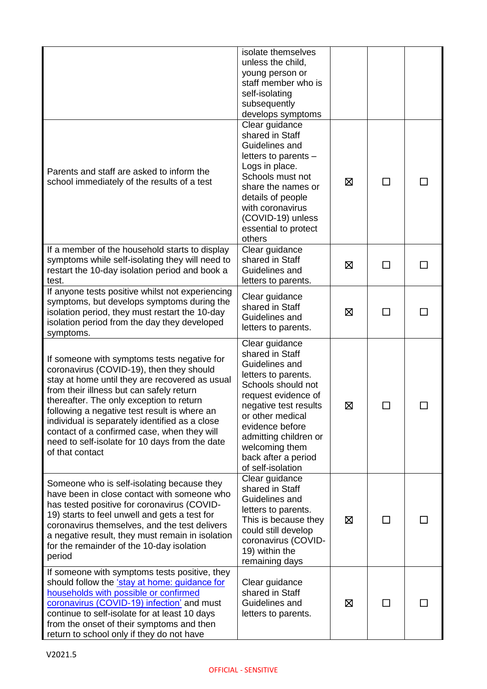|                                                                                                                                                                                                                                                                                                                                                                                                                                                         | isolate themselves<br>unless the child,<br>young person or<br>staff member who is<br>self-isolating<br>subsequently<br>develops symptoms                                                                                                                                       |   |              |  |
|---------------------------------------------------------------------------------------------------------------------------------------------------------------------------------------------------------------------------------------------------------------------------------------------------------------------------------------------------------------------------------------------------------------------------------------------------------|--------------------------------------------------------------------------------------------------------------------------------------------------------------------------------------------------------------------------------------------------------------------------------|---|--------------|--|
| Parents and staff are asked to inform the<br>school immediately of the results of a test                                                                                                                                                                                                                                                                                                                                                                | Clear guidance<br>shared in Staff<br>Guidelines and<br>letters to parents -<br>Logs in place.<br>Schools must not<br>share the names or<br>details of people<br>with coronavirus<br>(COVID-19) unless<br>essential to protect<br>others                                        | ⊠ | $\Box$       |  |
| If a member of the household starts to display<br>symptoms while self-isolating they will need to<br>restart the 10-day isolation period and book a<br>test.                                                                                                                                                                                                                                                                                            | Clear guidance<br>shared in Staff<br>Guidelines and<br>letters to parents.                                                                                                                                                                                                     | 区 | ΙI           |  |
| If anyone tests positive whilst not experiencing<br>symptoms, but develops symptoms during the<br>isolation period, they must restart the 10-day<br>isolation period from the day they developed<br>symptoms.                                                                                                                                                                                                                                           | Clear guidance<br>shared in Staff<br>Guidelines and<br>letters to parents.                                                                                                                                                                                                     | ⊠ | $\mathsf{L}$ |  |
| If someone with symptoms tests negative for<br>coronavirus (COVID-19), then they should<br>stay at home until they are recovered as usual<br>from their illness but can safely return<br>thereafter. The only exception to return<br>following a negative test result is where an<br>individual is separately identified as a close<br>contact of a confirmed case, when they will<br>need to self-isolate for 10 days from the date<br>of that contact | Clear guidance<br>shared in Staff<br>Guidelines and<br>letters to parents.<br>Schools should not<br>request evidence of<br>negative test results<br>or other medical<br>evidence before<br>admitting children or<br>welcoming them<br>back after a period<br>of self-isolation | ⊠ |              |  |
| Someone who is self-isolating because they<br>have been in close contact with someone who<br>has tested positive for coronavirus (COVID-<br>19) starts to feel unwell and gets a test for<br>coronavirus themselves, and the test delivers<br>a negative result, they must remain in isolation<br>for the remainder of the 10-day isolation<br>period                                                                                                   | Clear guidance<br>shared in Staff<br>Guidelines and<br>letters to parents.<br>This is because they<br>could still develop<br>coronavirus (COVID-<br>19) within the<br>remaining days                                                                                           | 区 | П            |  |
| If someone with symptoms tests positive, they<br>should follow the 'stay at home: guidance for<br>households with possible or confirmed<br>coronavirus (COVID-19) infection' and must<br>continue to self-isolate for at least 10 days<br>from the onset of their symptoms and then<br>return to school only if they do not have                                                                                                                        | Clear guidance<br>shared in Staff<br>Guidelines and<br>letters to parents.                                                                                                                                                                                                     | ⊠ | □            |  |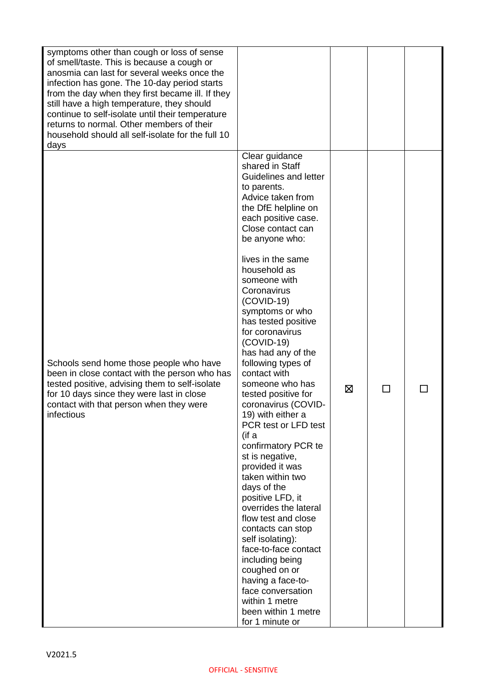| symptoms other than cough or loss of sense<br>of smell/taste. This is because a cough or<br>anosmia can last for several weeks once the<br>infection has gone. The 10-day period starts<br>from the day when they first became ill. If they<br>still have a high temperature, they should<br>continue to self-isolate until their temperature<br>returns to normal. Other members of their<br>household should all self-isolate for the full 10<br>days |                                                                                                                                                                                                                                                                                                                                                                                                                                                                                                                                                                                                                                                                                                                                                                                                                                                                                                                        |   |              |  |
|---------------------------------------------------------------------------------------------------------------------------------------------------------------------------------------------------------------------------------------------------------------------------------------------------------------------------------------------------------------------------------------------------------------------------------------------------------|------------------------------------------------------------------------------------------------------------------------------------------------------------------------------------------------------------------------------------------------------------------------------------------------------------------------------------------------------------------------------------------------------------------------------------------------------------------------------------------------------------------------------------------------------------------------------------------------------------------------------------------------------------------------------------------------------------------------------------------------------------------------------------------------------------------------------------------------------------------------------------------------------------------------|---|--------------|--|
| Schools send home those people who have<br>been in close contact with the person who has<br>tested positive, advising them to self-isolate<br>for 10 days since they were last in close<br>contact with that person when they were<br>infectious                                                                                                                                                                                                        | Clear guidance<br>shared in Staff<br>Guidelines and letter<br>to parents.<br>Advice taken from<br>the DfE helpline on<br>each positive case.<br>Close contact can<br>be anyone who:<br>lives in the same<br>household as<br>someone with<br>Coronavirus<br>$(COVID-19)$<br>symptoms or who<br>has tested positive<br>for coronavirus<br>$(COVID-19)$<br>has had any of the<br>following types of<br>contact with<br>someone who has<br>tested positive for<br>coronavirus (COVID-<br>19) with either a<br>PCR test or LFD test<br>(if a<br>confirmatory PCR te<br>st is negative,<br>provided it was<br>taken within two<br>days of the<br>positive LFD, it<br>overrides the lateral<br>flow test and close<br>contacts can stop<br>self isolating):<br>face-to-face contact<br>including being<br>coughed on or<br>having a face-to-<br>face conversation<br>within 1 metre<br>been within 1 metre<br>for 1 minute or | ⊠ | $\mathsf{L}$ |  |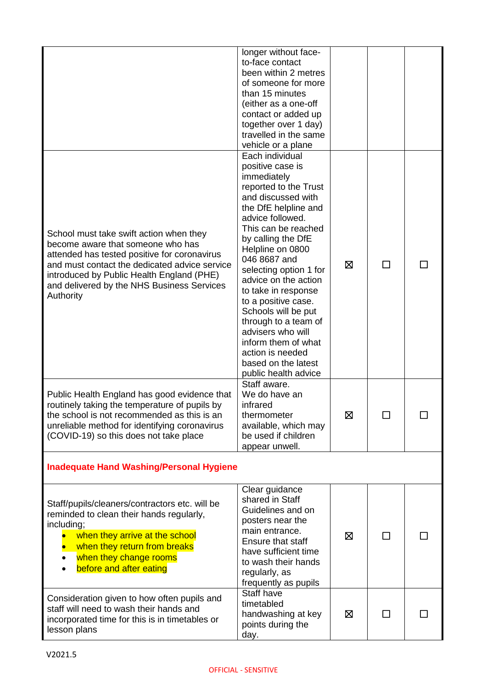|                                                                                                                                                                                                                                                                                       | longer without face-<br>to-face contact<br>been within 2 metres<br>of someone for more<br>than 15 minutes<br>(either as a one-off<br>contact or added up<br>together over 1 day)<br>travelled in the same<br>vehicle or a plane                                                                                                                                                                                                                                                              |   |  |
|---------------------------------------------------------------------------------------------------------------------------------------------------------------------------------------------------------------------------------------------------------------------------------------|----------------------------------------------------------------------------------------------------------------------------------------------------------------------------------------------------------------------------------------------------------------------------------------------------------------------------------------------------------------------------------------------------------------------------------------------------------------------------------------------|---|--|
| School must take swift action when they<br>become aware that someone who has<br>attended has tested positive for coronavirus<br>and must contact the dedicated advice service<br>introduced by Public Health England (PHE)<br>and delivered by the NHS Business Services<br>Authority | Each individual<br>positive case is<br>immediately<br>reported to the Trust<br>and discussed with<br>the DfE helpline and<br>advice followed.<br>This can be reached<br>by calling the DfE<br>Helpline on 0800<br>046 8687 and<br>selecting option 1 for<br>advice on the action<br>to take in response<br>to a positive case.<br>Schools will be put<br>through to a team of<br>advisers who will<br>inform them of what<br>action is needed<br>based on the latest<br>public health advice | ⊠ |  |
| Public Health England has good evidence that<br>routinely taking the temperature of pupils by<br>the school is not recommended as this is an<br>unreliable method for identifying coronavirus<br>(COVID-19) so this does not take place                                               | Staff aware.<br>We do have an<br>infrared<br>thermometer<br>available, which may<br>be used if children<br>appear unwell.                                                                                                                                                                                                                                                                                                                                                                    | 区 |  |
| <b>Inadequate Hand Washing/Personal Hygiene</b>                                                                                                                                                                                                                                       |                                                                                                                                                                                                                                                                                                                                                                                                                                                                                              |   |  |
| Staff/pupils/cleaners/contractors etc. will be<br>reminded to clean their hands regularly,<br>including;<br>when they arrive at the school<br>when they return from breaks<br>when they change rooms<br>before and after eating                                                       | Clear guidance<br>shared in Staff<br>Guidelines and on<br>posters near the<br>main entrance.<br>Ensure that staff<br>have sufficient time<br>to wash their hands<br>regularly, as<br>frequently as pupils                                                                                                                                                                                                                                                                                    | ⊠ |  |
| Consideration given to how often pupils and<br>staff will need to wash their hands and<br>incorporated time for this is in timetables or<br>lesson plans                                                                                                                              | Staff have<br>timetabled<br>handwashing at key<br>points during the<br>day.                                                                                                                                                                                                                                                                                                                                                                                                                  | ⊠ |  |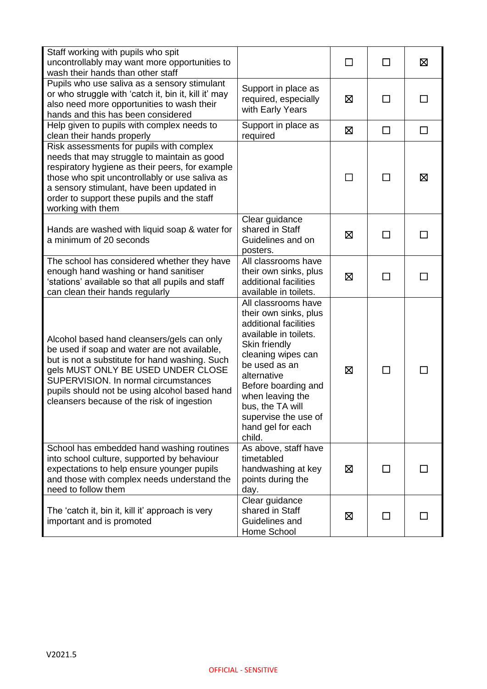| Staff working with pupils who spit<br>uncontrollably may want more opportunities to<br>wash their hands than other staff                                                                                                                                                                                                  |                                                                                                                                                                                                                                                                                             |        | П            | $\boxtimes$ |
|---------------------------------------------------------------------------------------------------------------------------------------------------------------------------------------------------------------------------------------------------------------------------------------------------------------------------|---------------------------------------------------------------------------------------------------------------------------------------------------------------------------------------------------------------------------------------------------------------------------------------------|--------|--------------|-------------|
| Pupils who use saliva as a sensory stimulant<br>or who struggle with 'catch it, bin it, kill it' may<br>also need more opportunities to wash their<br>hands and this has been considered                                                                                                                                  | Support in place as<br>required, especially<br>with Early Years                                                                                                                                                                                                                             | ⊠      | П            |             |
| Help given to pupils with complex needs to<br>clean their hands properly                                                                                                                                                                                                                                                  | Support in place as<br>required                                                                                                                                                                                                                                                             | 区      | $\Box$       | $\Box$      |
| Risk assessments for pupils with complex<br>needs that may struggle to maintain as good<br>respiratory hygiene as their peers, for example<br>those who spit uncontrollably or use saliva as<br>a sensory stimulant, have been updated in<br>order to support these pupils and the staff<br>working with them             |                                                                                                                                                                                                                                                                                             | $\Box$ | П            | ⊠           |
| Hands are washed with liquid soap & water for<br>a minimum of 20 seconds                                                                                                                                                                                                                                                  | Clear guidance<br>shared in Staff<br>Guidelines and on<br>posters.                                                                                                                                                                                                                          | 区      | П            |             |
| The school has considered whether they have<br>enough hand washing or hand sanitiser<br>'stations' available so that all pupils and staff<br>can clean their hands regularly                                                                                                                                              | All classrooms have<br>their own sinks, plus<br>additional facilities<br>available in toilets.                                                                                                                                                                                              | ⊠      | □            |             |
| Alcohol based hand cleansers/gels can only<br>be used if soap and water are not available,<br>but is not a substitute for hand washing. Such<br>gels MUST ONLY BE USED UNDER CLOSE<br>SUPERVISION. In normal circumstances<br>pupils should not be using alcohol based hand<br>cleansers because of the risk of ingestion | All classrooms have<br>their own sinks, plus<br>additional facilities<br>available in toilets.<br>Skin friendly<br>cleaning wipes can<br>be used as an<br>alternative<br>Before boarding and<br>when leaving the<br>bus, the TA will<br>supervise the use of<br>hand gel for each<br>child. | ⊠      | ΙI           |             |
| School has embedded hand washing routines<br>into school culture, supported by behaviour<br>expectations to help ensure younger pupils<br>and those with complex needs understand the<br>need to follow them                                                                                                              | As above, staff have<br>timetabled<br>handwashing at key<br>points during the<br>day.                                                                                                                                                                                                       | ⊠      | $\mathsf{L}$ |             |
| The 'catch it, bin it, kill it' approach is very<br>important and is promoted                                                                                                                                                                                                                                             | Clear guidance<br>shared in Staff<br>Guidelines and<br>Home School                                                                                                                                                                                                                          | ⊠      | П            |             |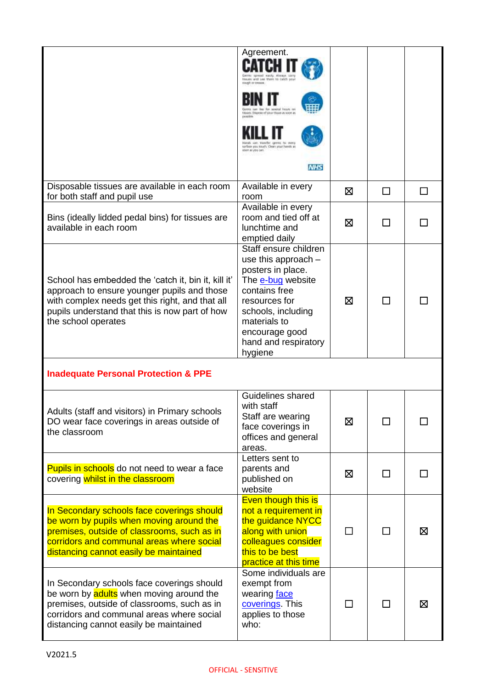|                                                                                                                                                                                                                                | Agreement.<br>apseal each Always in<br>Hintain and Lea Ware to catch an<br>Froster in<br>Nipese of vike Hisse Js soon a<br>vancing to mule<br>sarboa you touch. Clean your hands at<br>iden as you can.<br><b>NHS</b> |   |              |          |
|--------------------------------------------------------------------------------------------------------------------------------------------------------------------------------------------------------------------------------|-----------------------------------------------------------------------------------------------------------------------------------------------------------------------------------------------------------------------|---|--------------|----------|
| Disposable tissues are available in each room<br>for both staff and pupil use                                                                                                                                                  | Available in every<br>room                                                                                                                                                                                            | ⊠ | □            | <b>I</b> |
| Bins (ideally lidded pedal bins) for tissues are<br>available in each room                                                                                                                                                     | Available in every<br>room and tied off at<br>lunchtime and<br>emptied daily                                                                                                                                          | ⊠ | $\mathbf{I}$ |          |
| School has embedded the 'catch it, bin it, kill it'<br>approach to ensure younger pupils and those<br>with complex needs get this right, and that all<br>pupils understand that this is now part of how<br>the school operates | Staff ensure children<br>use this approach -<br>posters in place.<br>The e-bug website<br>contains free<br>resources for<br>schools, including<br>materials to<br>encourage good<br>hand and respiratory<br>hygiene   | ⊠ | $\sim$       |          |
| <b>Inadequate Personal Protection &amp; PPE</b>                                                                                                                                                                                |                                                                                                                                                                                                                       |   |              |          |
| Adults (staff and visitors) in Primary schools<br>DO wear face coverings in areas outside of<br>the classroom                                                                                                                  | Guidelines shared<br>with staff<br>Staff are wearing<br>face coverings in<br>offices and general<br>areas.                                                                                                            | 冈 | П            |          |
| Pupils in schools do not need to wear a face<br>covering whilst in the classroom                                                                                                                                               | Letters sent to<br>parents and<br>published on<br>website                                                                                                                                                             | ⊠ | □            |          |
| In Secondary schools face coverings should<br>be worn by pupils when moving around the<br>premises, outside of classrooms, such as in<br>corridors and communal areas where social<br>distancing cannot easily be maintained   | Even though this is<br>not a requirement in<br>the guidance NYCC<br>along with union<br>colleagues consider<br>this to be best<br>practice at this time                                                               |   |              | ⊠        |
| In Secondary schools face coverings should<br>be worn by adults when moving around the<br>premises, outside of classrooms, such as in<br>corridors and communal areas where social<br>distancing cannot easily be maintained   | Some individuals are<br>exempt from<br>wearing face<br>coverings This<br>applies to those<br>who:                                                                                                                     |   | $\mathbf{I}$ | ⊠        |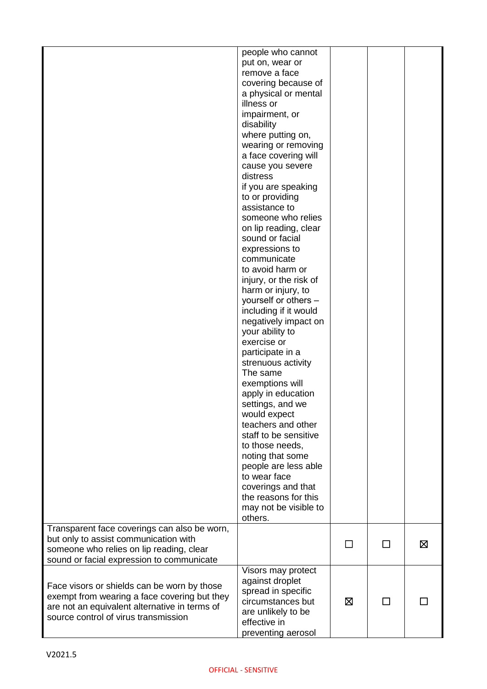|                                                                                                                                                                                      | people who cannot<br>put on, wear or<br>remove a face<br>covering because of<br>a physical or mental<br>illness or<br>impairment, or<br>disability<br>where putting on,<br>wearing or removing<br>a face covering will<br>cause you severe<br>distress<br>if you are speaking<br>to or providing<br>assistance to<br>someone who relies<br>on lip reading, clear<br>sound or facial<br>expressions to<br>communicate<br>to avoid harm or<br>injury, or the risk of<br>harm or injury, to<br>yourself or others -<br>including if it would<br>negatively impact on<br>your ability to<br>exercise or<br>participate in a<br>strenuous activity<br>The same<br>exemptions will<br>apply in education<br>settings, and we<br>would expect<br>teachers and other<br>staff to be sensitive<br>to those needs,<br>noting that some<br>people are less able<br>to wear face<br>coverings and that<br>the reasons for this<br>may not be visible to<br>others. |    |   |   |
|--------------------------------------------------------------------------------------------------------------------------------------------------------------------------------------|--------------------------------------------------------------------------------------------------------------------------------------------------------------------------------------------------------------------------------------------------------------------------------------------------------------------------------------------------------------------------------------------------------------------------------------------------------------------------------------------------------------------------------------------------------------------------------------------------------------------------------------------------------------------------------------------------------------------------------------------------------------------------------------------------------------------------------------------------------------------------------------------------------------------------------------------------------|----|---|---|
| Transparent face coverings can also be worn,<br>but only to assist communication with<br>someone who relies on lip reading, clear<br>sound or facial expression to communicate       |                                                                                                                                                                                                                                                                                                                                                                                                                                                                                                                                                                                                                                                                                                                                                                                                                                                                                                                                                        | ΙI | П | ⊠ |
| Face visors or shields can be worn by those<br>exempt from wearing a face covering but they<br>are not an equivalent alternative in terms of<br>source control of virus transmission | Visors may protect<br>against droplet<br>spread in specific<br>circumstances but<br>are unlikely to be<br>effective in<br>preventing aerosol                                                                                                                                                                                                                                                                                                                                                                                                                                                                                                                                                                                                                                                                                                                                                                                                           | ⊠  |   |   |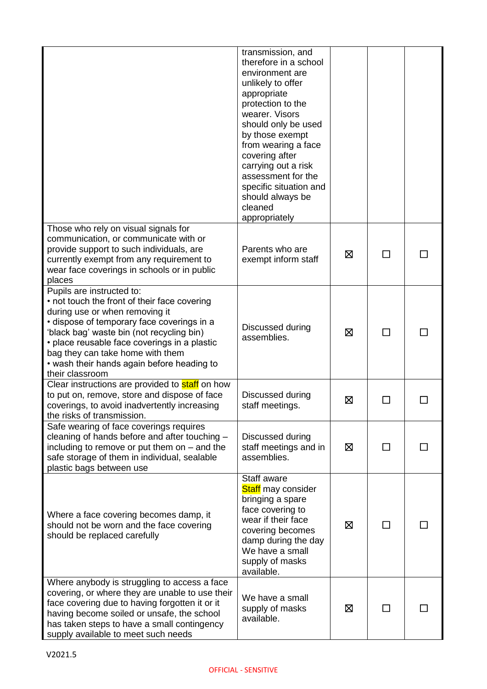|                                                                                                                                                                                                                                                                                                                                                             | transmission, and<br>therefore in a school<br>environment are<br>unlikely to offer<br>appropriate<br>protection to the<br>wearer. Visors<br>should only be used<br>by those exempt<br>from wearing a face<br>covering after<br>carrying out a risk<br>assessment for the<br>specific situation and<br>should always be<br>cleaned<br>appropriately |   |                          |  |
|-------------------------------------------------------------------------------------------------------------------------------------------------------------------------------------------------------------------------------------------------------------------------------------------------------------------------------------------------------------|----------------------------------------------------------------------------------------------------------------------------------------------------------------------------------------------------------------------------------------------------------------------------------------------------------------------------------------------------|---|--------------------------|--|
| Those who rely on visual signals for<br>communication, or communicate with or<br>provide support to such individuals, are<br>currently exempt from any requirement to<br>wear face coverings in schools or in public<br>places                                                                                                                              | Parents who are<br>exempt inform staff                                                                                                                                                                                                                                                                                                             | ⊠ | П                        |  |
| Pupils are instructed to:<br>• not touch the front of their face covering<br>during use or when removing it<br>• dispose of temporary face coverings in a<br>'black bag' waste bin (not recycling bin)<br>• place reusable face coverings in a plastic<br>bag they can take home with them<br>• wash their hands again before heading to<br>their classroom | Discussed during<br>assemblies.                                                                                                                                                                                                                                                                                                                    | ⊠ | $\Box$                   |  |
| Clear instructions are provided to <b>staff</b> on how<br>to put on, remove, store and dispose of face<br>coverings, to avoid inadvertently increasing<br>the risks of transmission.                                                                                                                                                                        | Discussed during<br>staff meetings.                                                                                                                                                                                                                                                                                                                | ⊠ |                          |  |
| Safe wearing of face coverings requires<br>cleaning of hands before and after touching -<br>including to remove or put them on $-$ and the<br>safe storage of them in individual, sealable<br>plastic bags between use                                                                                                                                      | Discussed during<br>staff meetings and in<br>assemblies.                                                                                                                                                                                                                                                                                           | ⊠ | $\overline{\phantom{a}}$ |  |
| Where a face covering becomes damp, it<br>should not be worn and the face covering<br>should be replaced carefully                                                                                                                                                                                                                                          | Staff aware<br>Staff may consider<br>bringing a spare<br>face covering to<br>wear if their face<br>covering becomes<br>damp during the day<br>We have a small<br>supply of masks<br>available.                                                                                                                                                     | ⊠ |                          |  |
| Where anybody is struggling to access a face<br>covering, or where they are unable to use their<br>face covering due to having forgotten it or it<br>having become soiled or unsafe, the school<br>has taken steps to have a small contingency<br>supply available to meet such needs                                                                       | We have a small<br>supply of masks<br>available.                                                                                                                                                                                                                                                                                                   | ⊠ | $\blacksquare$           |  |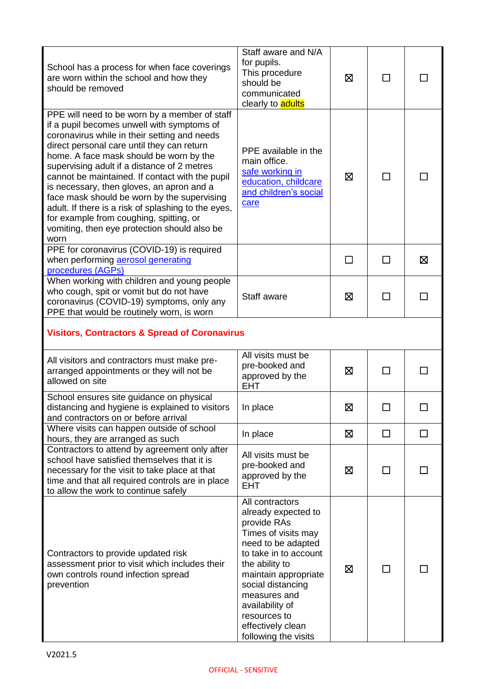| School has a process for when face coverings<br>are worn within the school and how they<br>should be removed                                                                                                                                                                                                                                                                                                                                                                                                                                                                                 | Staff aware and N/A<br>for pupils.<br>This procedure<br>should be<br>communicated<br>clearly to <b>adults</b>                                                                                                                                                                              | ⊠       | $\mathsf{L}$ |   |
|----------------------------------------------------------------------------------------------------------------------------------------------------------------------------------------------------------------------------------------------------------------------------------------------------------------------------------------------------------------------------------------------------------------------------------------------------------------------------------------------------------------------------------------------------------------------------------------------|--------------------------------------------------------------------------------------------------------------------------------------------------------------------------------------------------------------------------------------------------------------------------------------------|---------|--------------|---|
| PPE will need to be worn by a member of staff<br>if a pupil becomes unwell with symptoms of<br>coronavirus while in their setting and needs<br>direct personal care until they can return<br>home. A face mask should be worn by the<br>supervising adult if a distance of 2 metres<br>cannot be maintained. If contact with the pupil<br>is necessary, then gloves, an apron and a<br>face mask should be worn by the supervising<br>adult. If there is a risk of splashing to the eyes,<br>for example from coughing, spitting, or<br>vomiting, then eye protection should also be<br>worn | PPE available in the<br>main office.<br>safe working in<br>education, childcare<br>and children's social<br>care                                                                                                                                                                           | ⊠       | ΙI           |   |
| PPE for coronavirus (COVID-19) is required<br>when performing aerosol generating<br>procedures (AGPs)                                                                                                                                                                                                                                                                                                                                                                                                                                                                                        |                                                                                                                                                                                                                                                                                            | $\perp$ | П            | 区 |
| When working with children and young people<br>who cough, spit or vomit but do not have<br>coronavirus (COVID-19) symptoms, only any<br>PPE that would be routinely worn, is worn                                                                                                                                                                                                                                                                                                                                                                                                            | Staff aware                                                                                                                                                                                                                                                                                | 区       | П            |   |
| <b>Visitors, Contractors &amp; Spread of Coronavirus</b>                                                                                                                                                                                                                                                                                                                                                                                                                                                                                                                                     |                                                                                                                                                                                                                                                                                            |         |              |   |
| All visitors and contractors must make pre-<br>arranged appointments or they will not be<br>allowed on site                                                                                                                                                                                                                                                                                                                                                                                                                                                                                  | All visits must be<br>pre-booked and<br>approved by the<br><b>EHT</b>                                                                                                                                                                                                                      | ⊠       |              |   |
| School ensures site guidance on physical<br>distancing and hygiene is explained to visitors<br>and contractors on or before arrival                                                                                                                                                                                                                                                                                                                                                                                                                                                          | In place                                                                                                                                                                                                                                                                                   | ⊠       |              |   |
| Where visits can happen outside of school<br>hours, they are arranged as such                                                                                                                                                                                                                                                                                                                                                                                                                                                                                                                | In place                                                                                                                                                                                                                                                                                   | ⊠       | П            | П |
| Contractors to attend by agreement only after<br>school have satisfied themselves that it is<br>necessary for the visit to take place at that<br>time and that all required controls are in place<br>to allow the work to continue safely                                                                                                                                                                                                                                                                                                                                                    | All visits must be<br>pre-booked and<br>approved by the<br><b>EHT</b>                                                                                                                                                                                                                      | ⊠       | $\mathsf{L}$ |   |
| Contractors to provide updated risk<br>assessment prior to visit which includes their<br>own controls round infection spread<br>prevention                                                                                                                                                                                                                                                                                                                                                                                                                                                   | All contractors<br>already expected to<br>provide RAs<br>Times of visits may<br>need to be adapted<br>to take in to account<br>the ability to<br>maintain appropriate<br>social distancing<br>measures and<br>availability of<br>resources to<br>effectively clean<br>following the visits | 区       | ΙI           |   |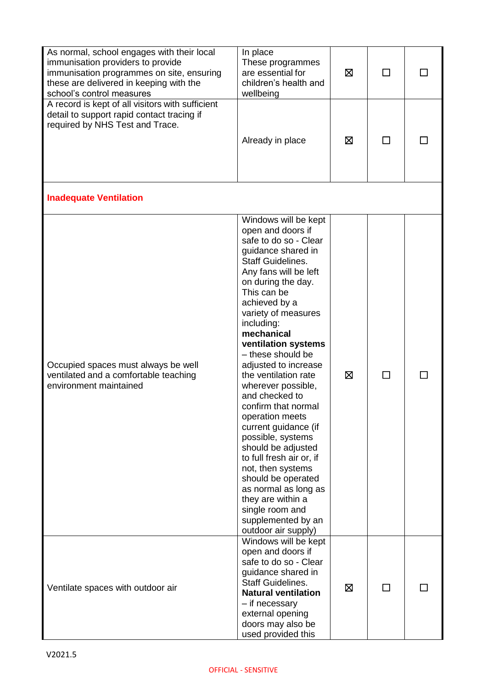| As normal, school engages with their local<br>immunisation providers to provide<br>immunisation programmes on site, ensuring<br>these are delivered in keeping with the<br>school's control measures | In place<br>These programmes<br>are essential for<br>children's health and<br>wellbeing                                                                                                                                                                                                                                                                                                                                                                                                                                                                                                                                                                                                     | X |              |  |
|------------------------------------------------------------------------------------------------------------------------------------------------------------------------------------------------------|---------------------------------------------------------------------------------------------------------------------------------------------------------------------------------------------------------------------------------------------------------------------------------------------------------------------------------------------------------------------------------------------------------------------------------------------------------------------------------------------------------------------------------------------------------------------------------------------------------------------------------------------------------------------------------------------|---|--------------|--|
| A record is kept of all visitors with sufficient<br>detail to support rapid contact tracing if<br>required by NHS Test and Trace.                                                                    | Already in place                                                                                                                                                                                                                                                                                                                                                                                                                                                                                                                                                                                                                                                                            | ⊠ | $\mathsf{L}$ |  |
| <b>Inadequate Ventilation</b>                                                                                                                                                                        |                                                                                                                                                                                                                                                                                                                                                                                                                                                                                                                                                                                                                                                                                             |   |              |  |
| Occupied spaces must always be well<br>ventilated and a comfortable teaching<br>environment maintained                                                                                               | Windows will be kept<br>open and doors if<br>safe to do so - Clear<br>guidance shared in<br><b>Staff Guidelines.</b><br>Any fans will be left<br>on during the day.<br>This can be<br>achieved by a<br>variety of measures<br>including:<br>mechanical<br>ventilation systems<br>- these should be<br>adjusted to increase<br>the ventilation rate<br>wherever possible,<br>and checked to<br>confirm that normal<br>operation meets<br>current guidance (if<br>possible, systems<br>should be adjusted<br>to full fresh air or, if<br>not, then systems<br>should be operated<br>as normal as long as<br>they are within a<br>single room and<br>supplemented by an<br>outdoor air supply) | ⊠ | $\mathsf{L}$ |  |
| Ventilate spaces with outdoor air                                                                                                                                                                    | Windows will be kept<br>open and doors if<br>safe to do so - Clear<br>guidance shared in<br><b>Staff Guidelines.</b><br><b>Natural ventilation</b><br>- if necessary<br>external opening<br>doors may also be<br>used provided this                                                                                                                                                                                                                                                                                                                                                                                                                                                         | X |              |  |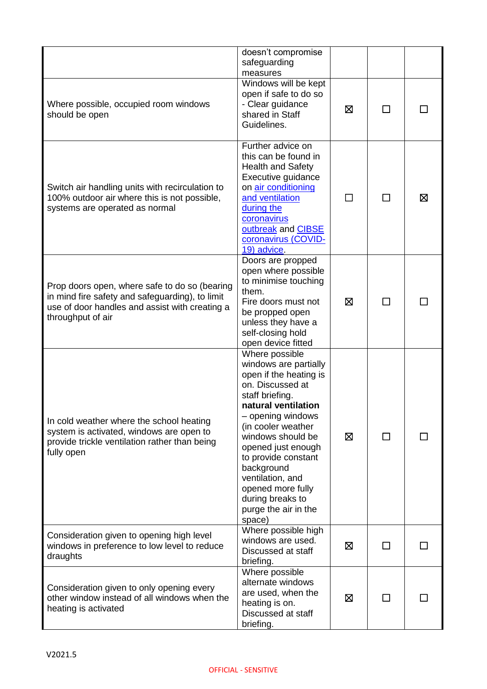|                                                                                                                                                                         | doesn't compromise<br>safeguarding<br>measures                                                                                                                                                                                                                                                                                                            |   |        |   |
|-------------------------------------------------------------------------------------------------------------------------------------------------------------------------|-----------------------------------------------------------------------------------------------------------------------------------------------------------------------------------------------------------------------------------------------------------------------------------------------------------------------------------------------------------|---|--------|---|
| Where possible, occupied room windows<br>should be open                                                                                                                 | Windows will be kept<br>open if safe to do so<br>- Clear guidance<br>shared in Staff<br>Guidelines.                                                                                                                                                                                                                                                       | ⊠ |        |   |
| Switch air handling units with recirculation to<br>100% outdoor air where this is not possible,<br>systems are operated as normal                                       | Further advice on<br>this can be found in<br><b>Health and Safety</b><br>Executive guidance<br>on air conditioning<br>and ventilation<br>during the<br>coronavirus<br>outbreak and CIBSE<br>coronavirus (COVID-<br>19) advice.                                                                                                                            |   |        | ⊠ |
| Prop doors open, where safe to do so (bearing<br>in mind fire safety and safeguarding), to limit<br>use of door handles and assist with creating a<br>throughput of air | Doors are propped<br>open where possible<br>to minimise touching<br>them.<br>Fire doors must not<br>be propped open<br>unless they have a<br>self-closing hold<br>open device fitted                                                                                                                                                                      | ⊠ |        |   |
| In cold weather where the school heating<br>system is activated, windows are open to<br>provide trickle ventilation rather than being<br>fully open                     | Where possible<br>windows are partially<br>open if the heating is<br>on. Discussed at<br>staff briefing.<br>natural ventilation<br>- opening windows<br>(in cooler weather<br>windows should be<br>opened just enough<br>to provide constant<br>background<br>ventilation, and<br>opened more fully<br>during breaks to<br>purge the air in the<br>space) | ⊠ | $\Box$ |   |
| Consideration given to opening high level<br>windows in preference to low level to reduce<br>draughts                                                                   | Where possible high<br>windows are used.<br>Discussed at staff<br>briefing.                                                                                                                                                                                                                                                                               | 区 |        |   |
| Consideration given to only opening every<br>other window instead of all windows when the<br>heating is activated                                                       | Where possible<br>alternate windows<br>are used, when the<br>heating is on.<br>Discussed at staff<br>briefing.                                                                                                                                                                                                                                            | ⊠ | ΙI     |   |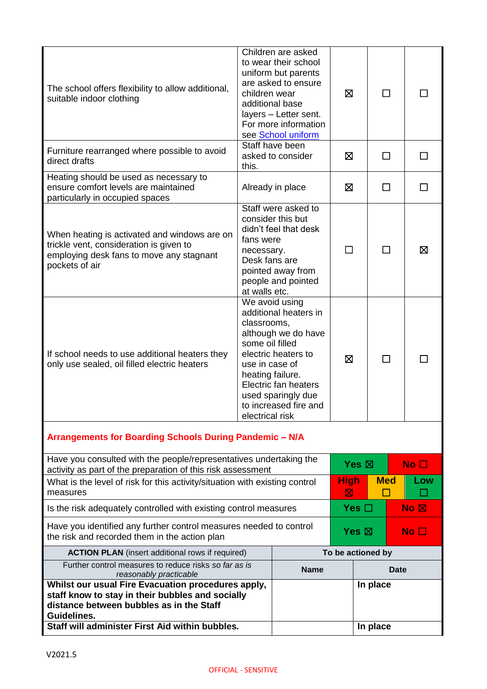| The school offers flexibility to allow additional,<br>suitable indoor clothing                                                                                    | Children are asked<br>to wear their school<br>uniform but parents<br>are asked to ensure<br>children wear<br>additional base<br>layers - Letter sent.<br>For more information<br>see School uniform                                                     | ⊠                | П                 |                 |                 |                                 |    |
|-------------------------------------------------------------------------------------------------------------------------------------------------------------------|---------------------------------------------------------------------------------------------------------------------------------------------------------------------------------------------------------------------------------------------------------|------------------|-------------------|-----------------|-----------------|---------------------------------|----|
| Furniture rearranged where possible to avoid<br>direct drafts                                                                                                     | Staff have been<br>asked to consider<br>this.                                                                                                                                                                                                           | ⊠                |                   | П               |                 |                                 |    |
| Heating should be used as necessary to<br>ensure comfort levels are maintained<br>particularly in occupied spaces                                                 | Already in place                                                                                                                                                                                                                                        |                  | ⊠                 |                 | $\Box$          |                                 | ΙI |
| When heating is activated and windows are on<br>trickle vent, consideration is given to<br>employing desk fans to move any stagnant<br>pockets of air             | Staff were asked to<br>consider this but<br>didn't feel that desk<br>fans were<br>necessary.<br>Desk fans are<br>pointed away from<br>people and pointed<br>at walls etc.                                                                               |                  | П                 | П               |                 |                                 | ⊠  |
| If school needs to use additional heaters they<br>only use sealed, oil filled electric heaters                                                                    | We avoid using<br>additional heaters in<br>classrooms,<br>although we do have<br>some oil filled<br>electric heaters to<br>use in case of<br>heating failure.<br>Electric fan heaters<br>used sparingly due<br>to increased fire and<br>electrical risk |                  | ⊠                 |                 | П               |                                 |    |
| Arrangements for Boarding Schools During Pandemic - N/A                                                                                                           |                                                                                                                                                                                                                                                         |                  |                   |                 |                 |                                 |    |
| Have you consulted with the people/representatives undertaking the<br>activity as part of the preparation of this risk assessment                                 |                                                                                                                                                                                                                                                         |                  | Yes $\boxtimes$   |                 | No <sub>1</sub> |                                 |    |
| What is the level of risk for this activity/situation with existing control<br>measures                                                                           |                                                                                                                                                                                                                                                         | <b>High</b><br>⊠ |                   | <b>Med</b><br>П |                 | Low                             |    |
| Is the risk adequately controlled with existing control measures                                                                                                  |                                                                                                                                                                                                                                                         |                  |                   | Yes $\Box$      |                 | $\overline{N}$ o $\overline{M}$ |    |
| Have you identified any further control measures needed to control<br>the risk and recorded them in the action plan                                               |                                                                                                                                                                                                                                                         |                  | Yes $\boxtimes$   |                 | No <sub>1</sub> |                                 |    |
| <b>ACTION PLAN</b> (insert additional rows if required)                                                                                                           |                                                                                                                                                                                                                                                         |                  | To be actioned by |                 |                 |                                 |    |
| Further control measures to reduce risks so far as is<br>reasonably practicable                                                                                   |                                                                                                                                                                                                                                                         | <b>Name</b>      |                   |                 |                 | Date                            |    |
| Whilst our usual Fire Evacuation procedures apply,<br>staff know to stay in their bubbles and socially<br>distance between bubbles as in the Staff<br>Guidelines. |                                                                                                                                                                                                                                                         |                  |                   | In place        |                 |                                 |    |
| Staff will administer First Aid within bubbles.                                                                                                                   |                                                                                                                                                                                                                                                         |                  |                   | In place        |                 |                                 |    |